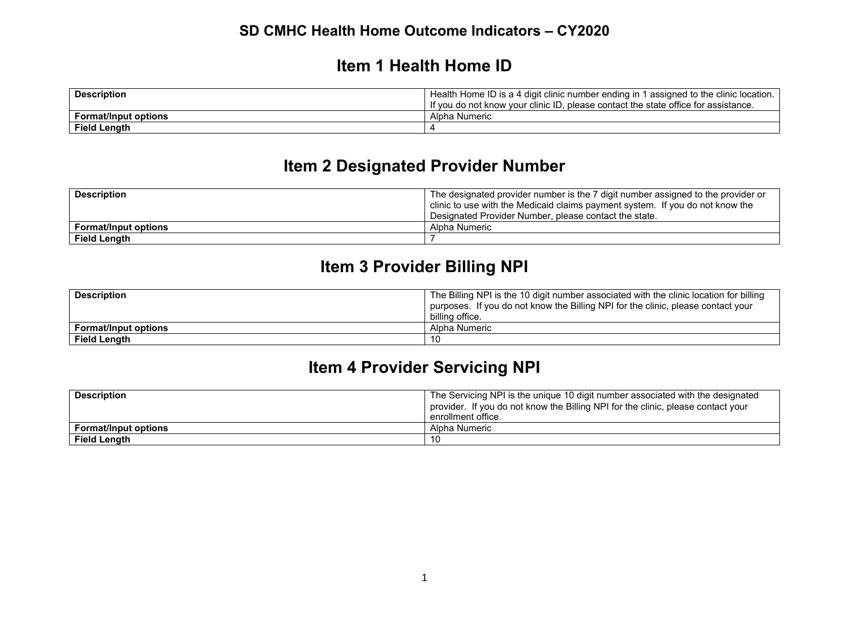### **Item 1 Health Home ID**

| <b>Description</b>          | Health Home ID is a 4 digit clinic number ending in 1 assigned to the clinic location. |
|-----------------------------|----------------------------------------------------------------------------------------|
|                             | If you do not know your clinic ID, please contact the state office for assistance.     |
| <b>Format/Input options</b> | Alpha Numeric                                                                          |
| <b>Field Length</b>         |                                                                                        |

## **Item 2 Designated Provider Number**

| <b>Description</b>          | The designated provider number is the 7 digit number assigned to the provider or |
|-----------------------------|----------------------------------------------------------------------------------|
|                             | clinic to use with the Medicaid claims payment system. If you do not know the    |
|                             | Designated Provider Number, please contact the state.                            |
| <b>Format/Input options</b> | Alpha Numeric                                                                    |
| <b>Field Length</b>         |                                                                                  |

## **Item 3 Provider Billing NPI**

| <b>Description</b>          | The Billing NPI is the 10 digit number associated with the clinic location for billing<br>purposes. If you do not know the Billing NPI for the clinic, please contact your<br>billing office. |
|-----------------------------|-----------------------------------------------------------------------------------------------------------------------------------------------------------------------------------------------|
| <b>Format/Input options</b> | Alpha Numeric                                                                                                                                                                                 |
| <b>Field Lenath</b>         | 10                                                                                                                                                                                            |

## **Item 4 Provider Servicing NPI**

| <b>Description</b>          | The Servicing NPI is the unique 10 digit number associated with the designated   |
|-----------------------------|----------------------------------------------------------------------------------|
|                             | provider. If you do not know the Billing NPI for the clinic, please contact your |
|                             | enrollment office.                                                               |
| <b>Format/Input options</b> | Alpha Numeric                                                                    |
| <b>Field Length</b>         |                                                                                  |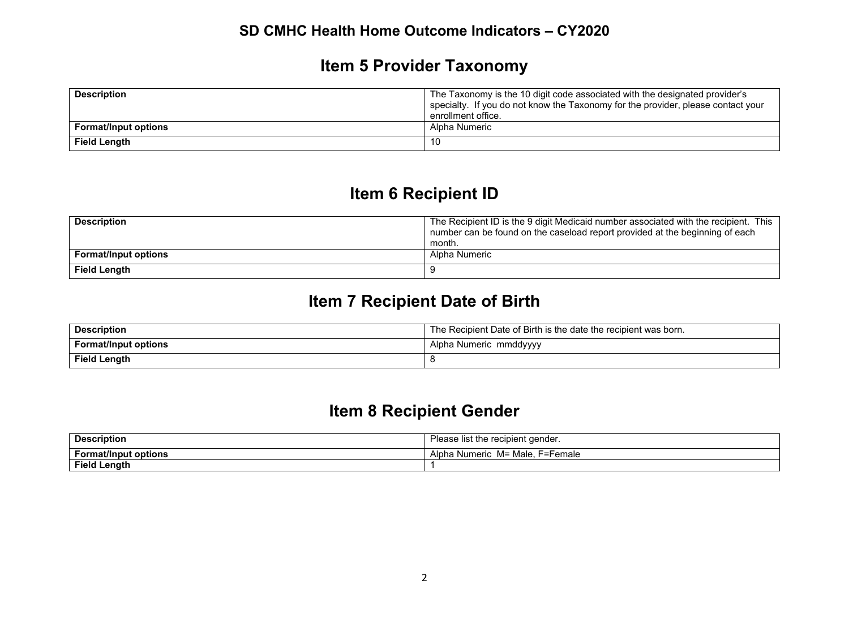## **Item 5 Provider Taxonomy**

| <b>Description</b>          | The Taxonomy is the 10 digit code associated with the designated provider's<br>specialty. If you do not know the Taxonomy for the provider, please contact your<br>enrollment office. |
|-----------------------------|---------------------------------------------------------------------------------------------------------------------------------------------------------------------------------------|
| <b>Format/Input options</b> | Alpha Numeric                                                                                                                                                                         |
| <b>Field Length</b>         | 10                                                                                                                                                                                    |

## **Item 6 Recipient ID**

| <b>Description</b>          | The Recipient ID is the 9 digit Medicaid number associated with the recipient. This<br>number can be found on the caseload report provided at the beginning of each |
|-----------------------------|---------------------------------------------------------------------------------------------------------------------------------------------------------------------|
|                             | month.                                                                                                                                                              |
| <b>Format/Input options</b> | Alpha Numeric                                                                                                                                                       |
| <b>Field Length</b>         |                                                                                                                                                                     |

# **Item 7 Recipient Date of Birth**

| <b>Description</b>          | The Recipient Date of Birth is the date the recipient was born. |
|-----------------------------|-----------------------------------------------------------------|
| <b>Format/Input options</b> | Alpha Numeric mmddyyyy                                          |
| Field Length                |                                                                 |

## **Item 8 Recipient Gender**

| <b>Description</b>          | Please list the recipient gender.       |
|-----------------------------|-----------------------------------------|
| <b>Format/Input options</b> | F=Female<br>M= Male. I<br>Alpha Numeric |
| Field Length                |                                         |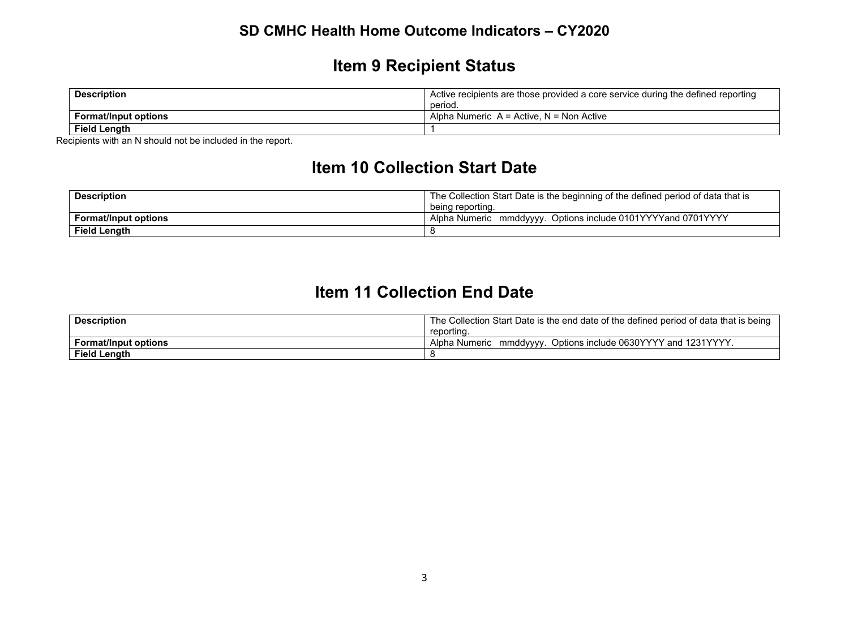## **Item 9 Recipient Status**

| <b>Description</b>          | Active recipients are those provided a core service during the defined reporting |
|-----------------------------|----------------------------------------------------------------------------------|
|                             | period.                                                                          |
| <b>Format/Input options</b> | Alpha Numeric $A =$ Active. N = Non Active                                       |
| <b>Field Length</b>         |                                                                                  |

Recipients with an N should not be included in the report.

## **Item 10 Collection Start Date**

| <b>Description</b>          | The Collection Start Date is the beginning of the defined period of data that is |
|-----------------------------|----------------------------------------------------------------------------------|
|                             | being reporting.                                                                 |
| <b>Format/Input options</b> | Alpha Numeric mmddyyyy. Options include 0101YYYYand 0701YYYY                     |
| <b>Field Length</b>         |                                                                                  |

## **Item 11 Collection End Date**

| <b>Description</b>          | The Collection Start Date is the end date of the defined period of data that is being |
|-----------------------------|---------------------------------------------------------------------------------------|
|                             | reporting.                                                                            |
| <b>Format/Input options</b> | Options include 0630YYYY and 1231YYYY<br>Alpha Numeric<br>mmddvvvv.                   |
| <b>Field Length</b>         |                                                                                       |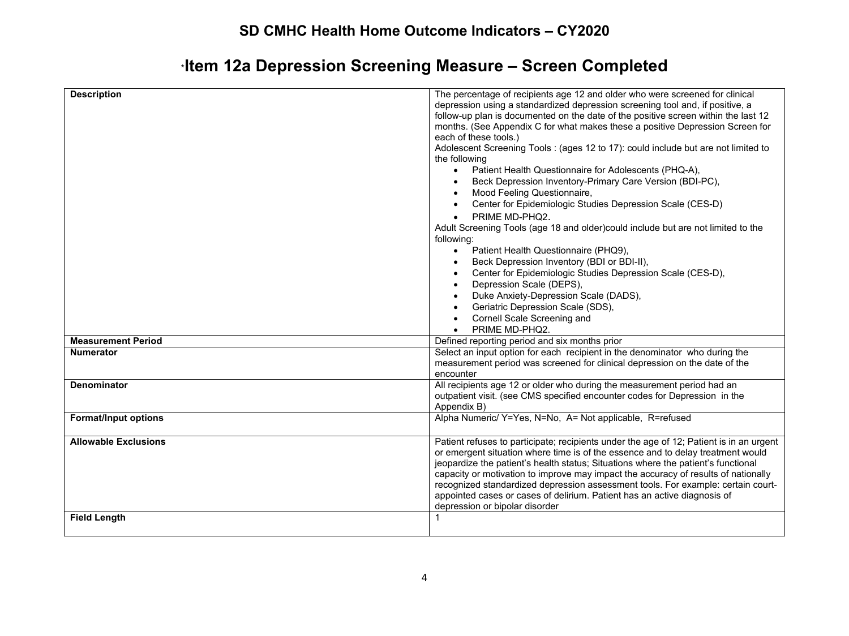# \***Item 12a Depression Screening Measure – Screen Completed**

| <b>Description</b>          | The percentage of recipients age 12 and older who were screened for clinical            |
|-----------------------------|-----------------------------------------------------------------------------------------|
|                             | depression using a standardized depression screening tool and, if positive, a           |
|                             |                                                                                         |
|                             | follow-up plan is documented on the date of the positive screen within the last 12      |
|                             | months. (See Appendix C for what makes these a positive Depression Screen for           |
|                             | each of these tools.)                                                                   |
|                             | Adolescent Screening Tools: (ages 12 to 17): could include but are not limited to       |
|                             | the following                                                                           |
|                             | Patient Health Questionnaire for Adolescents (PHQ-A),<br>$\bullet$                      |
|                             | Beck Depression Inventory-Primary Care Version (BDI-PC),                                |
|                             | Mood Feeling Questionnaire,                                                             |
|                             | Center for Epidemiologic Studies Depression Scale (CES-D)<br>$\bullet$                  |
|                             | PRIME MD-PHQ2.<br>$\bullet$                                                             |
|                             | Adult Screening Tools (age 18 and older)could include but are not limited to the        |
|                             | following:                                                                              |
|                             | Patient Health Questionnaire (PHQ9),<br>$\bullet$                                       |
|                             | Beck Depression Inventory (BDI or BDI-II),<br>$\bullet$                                 |
|                             | Center for Epidemiologic Studies Depression Scale (CES-D),<br>$\bullet$                 |
|                             | Depression Scale (DEPS),<br>$\bullet$                                                   |
|                             | Duke Anxiety-Depression Scale (DADS),<br>$\bullet$                                      |
|                             |                                                                                         |
|                             | Geriatric Depression Scale (SDS),                                                       |
|                             | Cornell Scale Screening and<br>$\bullet$                                                |
|                             | PRIME MD-PHQ2.<br>$\bullet$                                                             |
| <b>Measurement Period</b>   | Defined reporting period and six months prior                                           |
| <b>Numerator</b>            | Select an input option for each recipient in the denominator who during the             |
|                             | measurement period was screened for clinical depression on the date of the              |
|                             | encounter                                                                               |
| <b>Denominator</b>          | All recipients age 12 or older who during the measurement period had an                 |
|                             | outpatient visit. (see CMS specified encounter codes for Depression in the              |
|                             | Appendix B)                                                                             |
| <b>Format/Input options</b> | Alpha Numeric/ Y=Yes, N=No, A= Not applicable, R=refused                                |
|                             |                                                                                         |
| <b>Allowable Exclusions</b> | Patient refuses to participate; recipients under the age of 12; Patient is in an urgent |
|                             | or emergent situation where time is of the essence and to delay treatment would         |
|                             | jeopardize the patient's health status; Situations where the patient's functional       |
|                             | capacity or motivation to improve may impact the accuracy of results of nationally      |
|                             | recognized standardized depression assessment tools. For example: certain court-        |
|                             | appointed cases or cases of delirium. Patient has an active diagnosis of                |
|                             | depression or bipolar disorder                                                          |
| <b>Field Length</b>         |                                                                                         |
|                             |                                                                                         |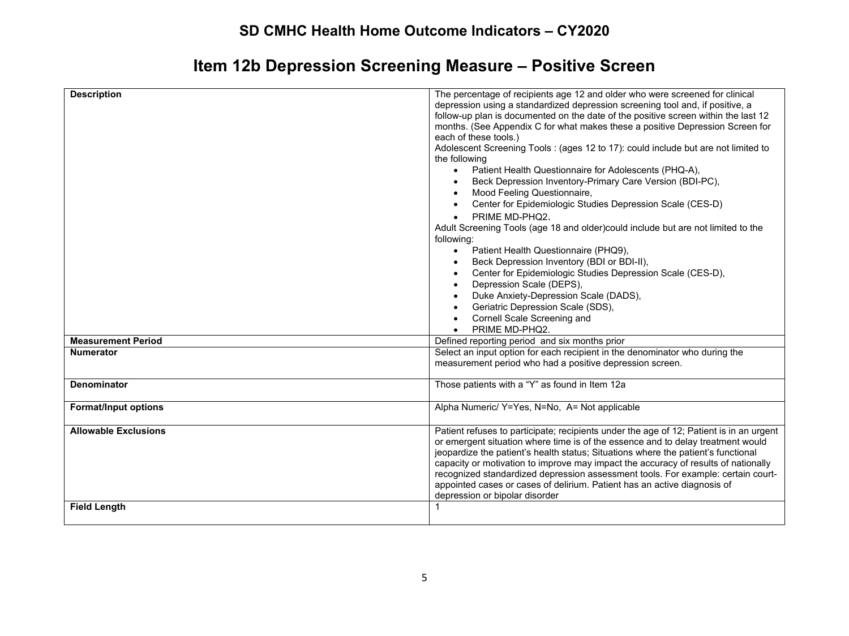# **Item 12b Depression Screening Measure – Positive Screen**

| <b>Description</b>                                 | The percentage of recipients age 12 and older who were screened for clinical<br>depression using a standardized depression screening tool and, if positive, a<br>follow-up plan is documented on the date of the positive screen within the last 12<br>months. (See Appendix C for what makes these a positive Depression Screen for<br>each of these tools.)<br>Adolescent Screening Tools: (ages 12 to 17): could include but are not limited to<br>the following<br>Patient Health Questionnaire for Adolescents (PHQ-A),<br>$\bullet$<br>Beck Depression Inventory-Primary Care Version (BDI-PC),<br>Mood Feeling Questionnaire,<br>$\bullet$<br>Center for Epidemiologic Studies Depression Scale (CES-D)<br>PRIME MD-PHQ2.<br>$\bullet$<br>Adult Screening Tools (age 18 and older)could include but are not limited to the<br>following:<br>Patient Health Questionnaire (PHQ9),<br>$\bullet$<br>Beck Depression Inventory (BDI or BDI-II),<br>$\bullet$<br>Center for Epidemiologic Studies Depression Scale (CES-D),<br>$\bullet$<br>Depression Scale (DEPS),<br>$\bullet$<br>Duke Anxiety-Depression Scale (DADS),<br>$\bullet$<br>Geriatric Depression Scale (SDS),<br>Cornell Scale Screening and<br>PRIME MD-PHQ2.<br>$\bullet$ |
|----------------------------------------------------|----------------------------------------------------------------------------------------------------------------------------------------------------------------------------------------------------------------------------------------------------------------------------------------------------------------------------------------------------------------------------------------------------------------------------------------------------------------------------------------------------------------------------------------------------------------------------------------------------------------------------------------------------------------------------------------------------------------------------------------------------------------------------------------------------------------------------------------------------------------------------------------------------------------------------------------------------------------------------------------------------------------------------------------------------------------------------------------------------------------------------------------------------------------------------------------------------------------------------------------------|
| <b>Measurement Period</b>                          |                                                                                                                                                                                                                                                                                                                                                                                                                                                                                                                                                                                                                                                                                                                                                                                                                                                                                                                                                                                                                                                                                                                                                                                                                                              |
|                                                    | Defined reporting period and six months prior                                                                                                                                                                                                                                                                                                                                                                                                                                                                                                                                                                                                                                                                                                                                                                                                                                                                                                                                                                                                                                                                                                                                                                                                |
| <b>Numerator</b>                                   | Select an input option for each recipient in the denominator who during the<br>measurement period who had a positive depression screen.                                                                                                                                                                                                                                                                                                                                                                                                                                                                                                                                                                                                                                                                                                                                                                                                                                                                                                                                                                                                                                                                                                      |
| <b>Denominator</b>                                 | Those patients with a "Y" as found in Item 12a                                                                                                                                                                                                                                                                                                                                                                                                                                                                                                                                                                                                                                                                                                                                                                                                                                                                                                                                                                                                                                                                                                                                                                                               |
| <b>Format/Input options</b>                        | Alpha Numeric/ Y=Yes, N=No, A= Not applicable                                                                                                                                                                                                                                                                                                                                                                                                                                                                                                                                                                                                                                                                                                                                                                                                                                                                                                                                                                                                                                                                                                                                                                                                |
| <b>Allowable Exclusions</b><br><b>Field Length</b> | Patient refuses to participate; recipients under the age of 12; Patient is in an urgent<br>or emergent situation where time is of the essence and to delay treatment would<br>jeopardize the patient's health status; Situations where the patient's functional<br>capacity or motivation to improve may impact the accuracy of results of nationally<br>recognized standardized depression assessment tools. For example: certain court-<br>appointed cases or cases of delirium. Patient has an active diagnosis of<br>depression or bipolar disorder                                                                                                                                                                                                                                                                                                                                                                                                                                                                                                                                                                                                                                                                                      |
|                                                    |                                                                                                                                                                                                                                                                                                                                                                                                                                                                                                                                                                                                                                                                                                                                                                                                                                                                                                                                                                                                                                                                                                                                                                                                                                              |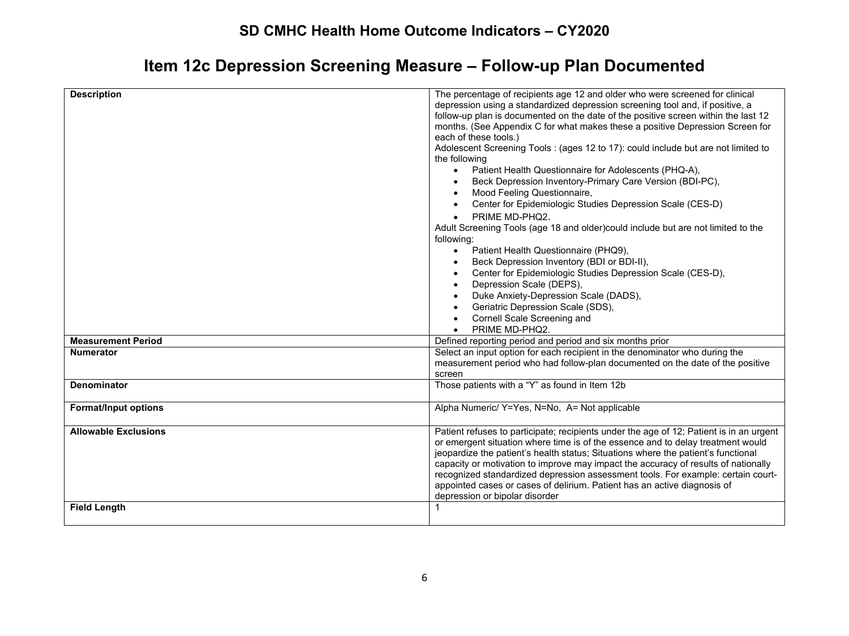# **Item 12c Depression Screening Measure – Follow-up Plan Documented**

| <b>Description</b>                                 | The percentage of recipients age 12 and older who were screened for clinical<br>depression using a standardized depression screening tool and, if positive, a<br>follow-up plan is documented on the date of the positive screen within the last 12<br>months. (See Appendix C for what makes these a positive Depression Screen for<br>each of these tools.)<br>Adolescent Screening Tools: (ages 12 to 17): could include but are not limited to<br>the following<br>Patient Health Questionnaire for Adolescents (PHQ-A),<br>$\bullet$<br>Beck Depression Inventory-Primary Care Version (BDI-PC),<br>Mood Feeling Questionnaire,<br>$\bullet$<br>Center for Epidemiologic Studies Depression Scale (CES-D)<br>$\bullet$<br>PRIME MD-PHQ2.<br>$\bullet$<br>Adult Screening Tools (age 18 and older)could include but are not limited to the<br>following:<br>Patient Health Questionnaire (PHQ9),<br>$\bullet$<br>Beck Depression Inventory (BDI or BDI-II),<br>$\bullet$<br>Center for Epidemiologic Studies Depression Scale (CES-D),<br>$\bullet$<br>Depression Scale (DEPS),<br>$\bullet$<br>Duke Anxiety-Depression Scale (DADS),<br>Geriatric Depression Scale (SDS),<br>Cornell Scale Screening and<br>PRIME MD-PHQ2.<br>$\bullet$ |
|----------------------------------------------------|----------------------------------------------------------------------------------------------------------------------------------------------------------------------------------------------------------------------------------------------------------------------------------------------------------------------------------------------------------------------------------------------------------------------------------------------------------------------------------------------------------------------------------------------------------------------------------------------------------------------------------------------------------------------------------------------------------------------------------------------------------------------------------------------------------------------------------------------------------------------------------------------------------------------------------------------------------------------------------------------------------------------------------------------------------------------------------------------------------------------------------------------------------------------------------------------------------------------------------------------|
| <b>Measurement Period</b>                          | Defined reporting period and period and six months prior                                                                                                                                                                                                                                                                                                                                                                                                                                                                                                                                                                                                                                                                                                                                                                                                                                                                                                                                                                                                                                                                                                                                                                                     |
| <b>Numerator</b>                                   | Select an input option for each recipient in the denominator who during the                                                                                                                                                                                                                                                                                                                                                                                                                                                                                                                                                                                                                                                                                                                                                                                                                                                                                                                                                                                                                                                                                                                                                                  |
|                                                    | measurement period who had follow-plan documented on the date of the positive<br>screen                                                                                                                                                                                                                                                                                                                                                                                                                                                                                                                                                                                                                                                                                                                                                                                                                                                                                                                                                                                                                                                                                                                                                      |
| <b>Denominator</b>                                 | Those patients with a "Y" as found in Item 12b                                                                                                                                                                                                                                                                                                                                                                                                                                                                                                                                                                                                                                                                                                                                                                                                                                                                                                                                                                                                                                                                                                                                                                                               |
| <b>Format/Input options</b>                        | Alpha Numeric/ Y=Yes, N=No, A= Not applicable                                                                                                                                                                                                                                                                                                                                                                                                                                                                                                                                                                                                                                                                                                                                                                                                                                                                                                                                                                                                                                                                                                                                                                                                |
| <b>Allowable Exclusions</b><br><b>Field Length</b> | Patient refuses to participate; recipients under the age of 12; Patient is in an urgent<br>or emergent situation where time is of the essence and to delay treatment would<br>jeopardize the patient's health status; Situations where the patient's functional<br>capacity or motivation to improve may impact the accuracy of results of nationally<br>recognized standardized depression assessment tools. For example: certain court-<br>appointed cases or cases of delirium. Patient has an active diagnosis of<br>depression or bipolar disorder                                                                                                                                                                                                                                                                                                                                                                                                                                                                                                                                                                                                                                                                                      |
|                                                    |                                                                                                                                                                                                                                                                                                                                                                                                                                                                                                                                                                                                                                                                                                                                                                                                                                                                                                                                                                                                                                                                                                                                                                                                                                              |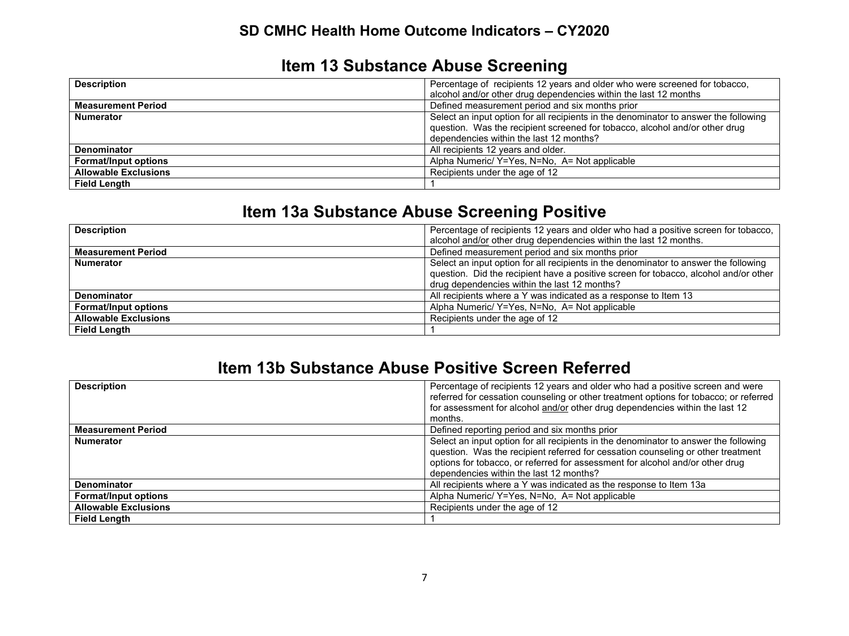## **Item 13 Substance Abuse Screening**

| <b>Description</b>          | Percentage of recipients 12 years and older who were screened for tobacco,<br>alcohol and/or other drug dependencies within the last 12 months |
|-----------------------------|------------------------------------------------------------------------------------------------------------------------------------------------|
| <b>Measurement Period</b>   | Defined measurement period and six months prior                                                                                                |
| <b>Numerator</b>            | Select an input option for all recipients in the denominator to answer the following                                                           |
|                             | question. Was the recipient screened for tobacco, alcohol and/or other drug                                                                    |
|                             | dependencies within the last 12 months?                                                                                                        |
| <b>Denominator</b>          | All recipients 12 years and older.                                                                                                             |
| <b>Format/Input options</b> | Alpha Numeric/ Y=Yes, N=No, A= Not applicable                                                                                                  |
| <b>Allowable Exclusions</b> | Recipients under the age of 12                                                                                                                 |
| <b>Field Length</b>         |                                                                                                                                                |

## **Item 13a Substance Abuse Screening Positive**

| <b>Description</b>          | Percentage of recipients 12 years and older who had a positive screen for tobacco,   |
|-----------------------------|--------------------------------------------------------------------------------------|
|                             | alcohol and/or other drug dependencies within the last 12 months.                    |
| <b>Measurement Period</b>   | Defined measurement period and six months prior                                      |
| <b>Numerator</b>            | Select an input option for all recipients in the denominator to answer the following |
|                             | question. Did the recipient have a positive screen for tobacco, alcohol and/or other |
|                             | drug dependencies within the last 12 months?                                         |
| <b>Denominator</b>          | All recipients where a Y was indicated as a response to Item 13                      |
| <b>Format/Input options</b> | Alpha Numeric/Y=Yes, N=No, A= Not applicable                                         |
| <b>Allowable Exclusions</b> | Recipients under the age of 12                                                       |
| <b>Field Length</b>         |                                                                                      |

## **Item 13b Substance Abuse Positive Screen Referred**

| <b>Description</b>          | Percentage of recipients 12 years and older who had a positive screen and were<br>referred for cessation counseling or other treatment options for tobacco; or referred<br>for assessment for alcohol and/or other drug dependencies within the last 12 |
|-----------------------------|---------------------------------------------------------------------------------------------------------------------------------------------------------------------------------------------------------------------------------------------------------|
|                             | months.                                                                                                                                                                                                                                                 |
| <b>Measurement Period</b>   | Defined reporting period and six months prior                                                                                                                                                                                                           |
| <b>Numerator</b>            | Select an input option for all recipients in the denominator to answer the following                                                                                                                                                                    |
|                             | question. Was the recipient referred for cessation counseling or other treatment                                                                                                                                                                        |
|                             | options for tobacco, or referred for assessment for alcohol and/or other drug                                                                                                                                                                           |
|                             | dependencies within the last 12 months?                                                                                                                                                                                                                 |
| <b>Denominator</b>          | All recipients where a Y was indicated as the response to Item 13a                                                                                                                                                                                      |
| <b>Format/Input options</b> | Alpha Numeric/ Y=Yes, N=No, A= Not applicable                                                                                                                                                                                                           |
| <b>Allowable Exclusions</b> | Recipients under the age of 12                                                                                                                                                                                                                          |
| <b>Field Length</b>         |                                                                                                                                                                                                                                                         |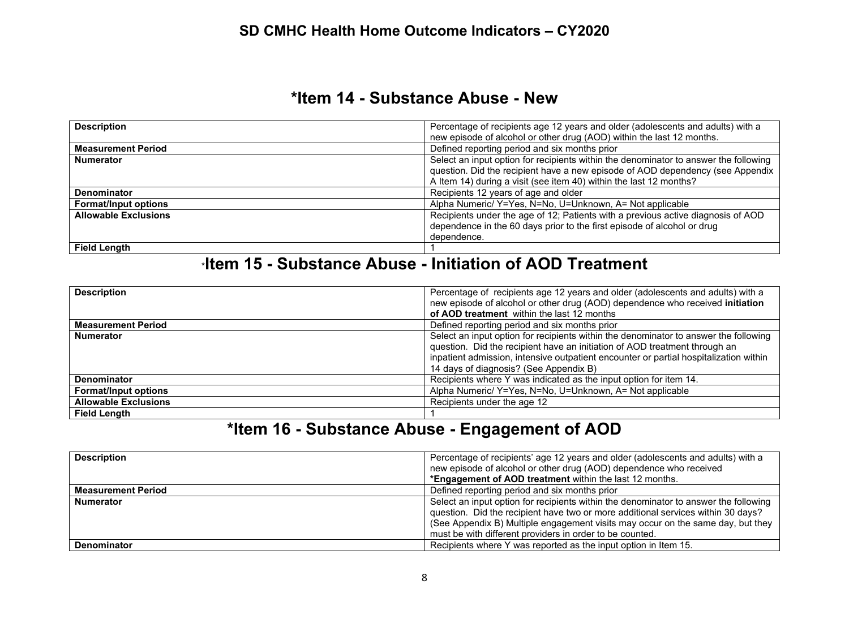## **\*Item 14 - Substance Abuse - New**

| <b>Description</b>          | Percentage of recipients age 12 years and older (adolescents and adults) with a      |
|-----------------------------|--------------------------------------------------------------------------------------|
|                             | new episode of alcohol or other drug (AOD) within the last 12 months.                |
| <b>Measurement Period</b>   | Defined reporting period and six months prior                                        |
| <b>Numerator</b>            | Select an input option for recipients within the denominator to answer the following |
|                             | question. Did the recipient have a new episode of AOD dependency (see Appendix       |
|                             | A Item 14) during a visit (see item 40) within the last 12 months?                   |
| <b>Denominator</b>          | Recipients 12 years of age and older                                                 |
| <b>Format/Input options</b> | Alpha Numeric/ Y=Yes, N=No, U=Unknown, A= Not applicable                             |
| <b>Allowable Exclusions</b> | Recipients under the age of 12; Patients with a previous active diagnosis of AOD     |
|                             | dependence in the 60 days prior to the first episode of alcohol or drug              |
|                             | dependence.                                                                          |
| <b>Field Length</b>         |                                                                                      |

## \***Item 15 - Substance Abuse - Initiation of AOD Treatment**

| <b>Description</b>          | Percentage of recipients age 12 years and older (adolescents and adults) with a       |
|-----------------------------|---------------------------------------------------------------------------------------|
|                             | new episode of alcohol or other drug (AOD) dependence who received initiation         |
|                             | of AOD treatment within the last 12 months                                            |
| <b>Measurement Period</b>   | Defined reporting period and six months prior                                         |
| <b>Numerator</b>            | Select an input option for recipients within the denominator to answer the following  |
|                             | question. Did the recipient have an initiation of AOD treatment through an            |
|                             | inpatient admission, intensive outpatient encounter or partial hospitalization within |
|                             | 14 days of diagnosis? (See Appendix B)                                                |
| <b>Denominator</b>          | Recipients where Y was indicated as the input option for item 14.                     |
| <b>Format/Input options</b> | Alpha Numeric/ Y=Yes, N=No, U=Unknown, A= Not applicable                              |
| <b>Allowable Exclusions</b> | Recipients under the age 12                                                           |
| <b>Field Length</b>         |                                                                                       |

# **\*Item 16 - Substance Abuse - Engagement of AOD**

| <b>Description</b>        | Percentage of recipients' age 12 years and older (adolescents and adults) with a<br>new episode of alcohol or other drug (AOD) dependence who received |
|---------------------------|--------------------------------------------------------------------------------------------------------------------------------------------------------|
|                           | *Engagement of AOD treatment within the last 12 months.                                                                                                |
| <b>Measurement Period</b> | Defined reporting period and six months prior                                                                                                          |
| <b>Numerator</b>          | Select an input option for recipients within the denominator to answer the following                                                                   |
|                           | question. Did the recipient have two or more additional services within 30 days?                                                                       |
|                           | (See Appendix B) Multiple engagement visits may occur on the same day, but they                                                                        |
|                           | must be with different providers in order to be counted.                                                                                               |
| Denominator               | Recipients where Y was reported as the input option in Item 15.                                                                                        |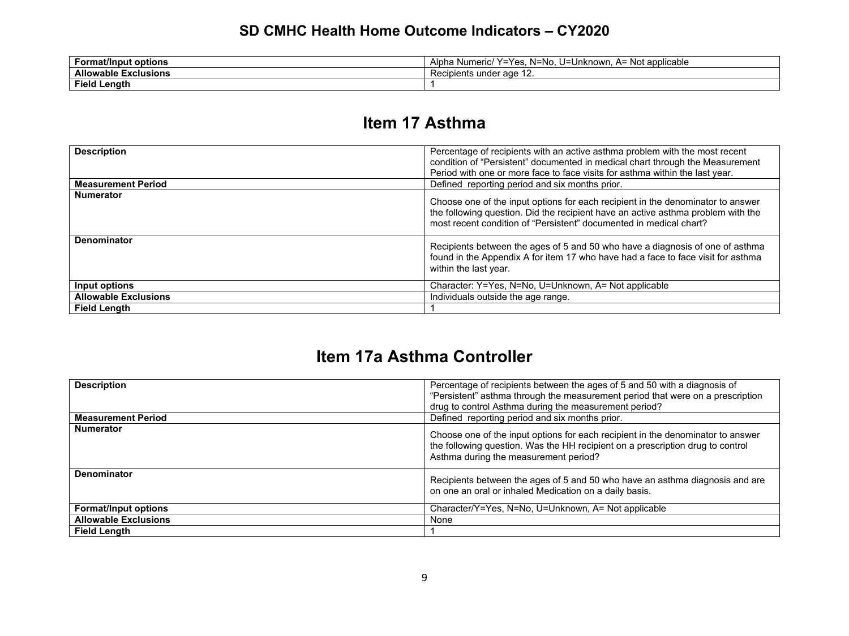| <b>Format/Input options</b>             | ∶applicable<br>∖lpha Numeric/<br>≒Yes.<br>=Unknown. A<br>Α=<br>$nn -$<br>--<br><b>NIA</b><br>⊫<br>. — 1<br>᠁<br>٦u |
|-----------------------------------------|--------------------------------------------------------------------------------------------------------------------|
| <b>Allowable I</b><br><b>Exclusions</b> | cipients under age<br>.<br>ישנ                                                                                     |
| Field<br>Lenath                         |                                                                                                                    |

## **Item 17 Asthma**

| <b>Description</b>          | Percentage of recipients with an active asthma problem with the most recent<br>condition of "Persistent" documented in medical chart through the Measurement<br>Period with one or more face to face visits for asthma within the last year. |
|-----------------------------|----------------------------------------------------------------------------------------------------------------------------------------------------------------------------------------------------------------------------------------------|
| <b>Measurement Period</b>   | Defined reporting period and six months prior.                                                                                                                                                                                               |
| <b>Numerator</b>            | Choose one of the input options for each recipient in the denominator to answer<br>the following question. Did the recipient have an active asthma problem with the<br>most recent condition of "Persistent" documented in medical chart?    |
| Denominator                 | Recipients between the ages of 5 and 50 who have a diagnosis of one of asthma<br>found in the Appendix A for item 17 who have had a face to face visit for asthma<br>within the last year.                                                   |
| Input options               | Character: Y=Yes, N=No, U=Unknown, A= Not applicable                                                                                                                                                                                         |
| <b>Allowable Exclusions</b> | Individuals outside the age range.                                                                                                                                                                                                           |
| <b>Field Lenath</b>         |                                                                                                                                                                                                                                              |

## **Item 17a Asthma Controller**

| <b>Description</b>          | Percentage of recipients between the ages of 5 and 50 with a diagnosis of<br>"Persistent" asthma through the measurement period that were on a prescription<br>drug to control Asthma during the measurement period? |
|-----------------------------|----------------------------------------------------------------------------------------------------------------------------------------------------------------------------------------------------------------------|
| <b>Measurement Period</b>   | Defined reporting period and six months prior.                                                                                                                                                                       |
| <b>Numerator</b>            | Choose one of the input options for each recipient in the denominator to answer<br>the following question. Was the HH recipient on a prescription drug to control<br>Asthma during the measurement period?           |
| Denominator                 | Recipients between the ages of 5 and 50 who have an asthma diagnosis and are<br>on one an oral or inhaled Medication on a daily basis.                                                                               |
| <b>Format/Input options</b> | Character/Y=Yes, N=No, U=Unknown, A= Not applicable                                                                                                                                                                  |
| <b>Allowable Exclusions</b> | None                                                                                                                                                                                                                 |
| <b>Field Length</b>         |                                                                                                                                                                                                                      |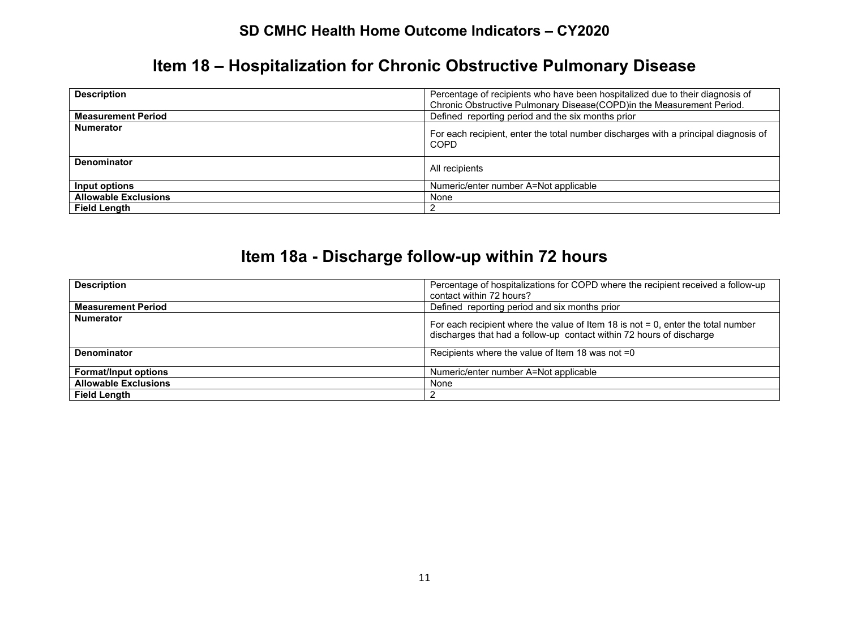## **Item 18 – Hospitalization for Chronic Obstructive Pulmonary Disease**

| <b>Description</b>          | Percentage of recipients who have been hospitalized due to their diagnosis of<br>Chronic Obstructive Pulmonary Disease (COPD) in the Measurement Period. |
|-----------------------------|----------------------------------------------------------------------------------------------------------------------------------------------------------|
| <b>Measurement Period</b>   | Defined reporting period and the six months prior                                                                                                        |
| <b>Numerator</b>            | For each recipient, enter the total number discharges with a principal diagnosis of<br>COPD                                                              |
| <b>Denominator</b>          | All recipients                                                                                                                                           |
| Input options               | Numeric/enter number A=Not applicable                                                                                                                    |
| <b>Allowable Exclusions</b> | None                                                                                                                                                     |
| <b>Field Length</b>         |                                                                                                                                                          |

## **Item 18a - Discharge follow-up within 72 hours**

| <b>Description</b>          | Percentage of hospitalizations for COPD where the recipient received a follow-up<br>contact within 72 hours?                                                |
|-----------------------------|-------------------------------------------------------------------------------------------------------------------------------------------------------------|
| <b>Measurement Period</b>   | Defined reporting period and six months prior                                                                                                               |
| <b>Numerator</b>            | For each recipient where the value of Item 18 is not $= 0$ , enter the total number<br>discharges that had a follow-up contact within 72 hours of discharge |
| <b>Denominator</b>          | Recipients where the value of Item 18 was not $=0$                                                                                                          |
| <b>Format/Input options</b> | Numeric/enter number A=Not applicable                                                                                                                       |
| <b>Allowable Exclusions</b> | None                                                                                                                                                        |
| <b>Field Length</b>         |                                                                                                                                                             |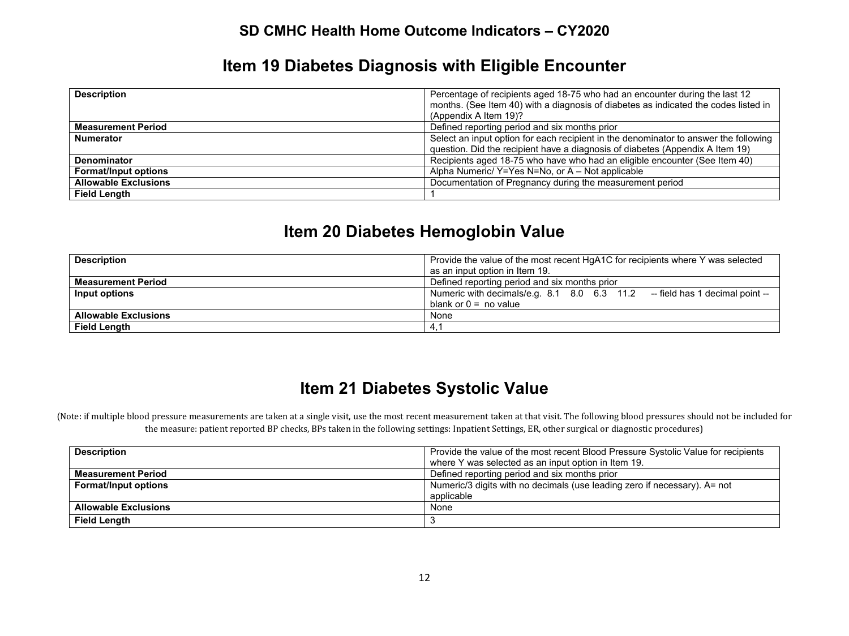## **Item 19 Diabetes Diagnosis with Eligible Encounter**

| <b>Description</b>          | Percentage of recipients aged 18-75 who had an encounter during the last 12<br>months. (See Item 40) with a diagnosis of diabetes as indicated the codes listed in<br>(Appendix A Item 19)? |
|-----------------------------|---------------------------------------------------------------------------------------------------------------------------------------------------------------------------------------------|
| <b>Measurement Period</b>   | Defined reporting period and six months prior                                                                                                                                               |
| <b>Numerator</b>            | Select an input option for each recipient in the denominator to answer the following                                                                                                        |
|                             | question. Did the recipient have a diagnosis of diabetes (Appendix A Item 19)                                                                                                               |
| Denominator                 | Recipients aged 18-75 who have who had an eligible encounter (See Item 40)                                                                                                                  |
| <b>Format/Input options</b> | Alpha Numeric/Y=Yes N=No, or A – Not applicable                                                                                                                                             |
| <b>Allowable Exclusions</b> | Documentation of Pregnancy during the measurement period                                                                                                                                    |
| <b>Field Length</b>         |                                                                                                                                                                                             |

## **Item 20 Diabetes Hemoglobin Value**

| <b>Description</b>          | Provide the value of the most recent HgA1C for recipients where Y was selected |
|-----------------------------|--------------------------------------------------------------------------------|
|                             | as an input option in Item 19.                                                 |
| <b>Measurement Period</b>   | Defined reporting period and six months prior                                  |
| Input options               | Numeric with decimals/e.g. 8.1 8.0 6.3 11.2 -- field has 1 decimal point --    |
|                             | blank or $0 = no$ value                                                        |
| <b>Allowable Exclusions</b> | None                                                                           |
| <b>Field Length</b>         | -4.                                                                            |

## **Item 21 Diabetes Systolic Value**

(Note: if multiple blood pressure measurements are taken at a single visit, use the most recent measurement taken at that visit. The following blood pressures should not be included for the measure: patient reported BP checks, BPs taken in the following settings: Inpatient Settings, ER, other surgical or diagnostic procedures)

| <b>Description</b>          | Provide the value of the most recent Blood Pressure Systolic Value for recipients |
|-----------------------------|-----------------------------------------------------------------------------------|
|                             | where Y was selected as an input option in Item 19.                               |
| <b>Measurement Period</b>   | Defined reporting period and six months prior                                     |
| <b>Format/Input options</b> | Numeric/3 digits with no decimals (use leading zero if necessary). A= not         |
|                             | applicable                                                                        |
| <b>Allowable Exclusions</b> | None                                                                              |
| <b>Field Length</b>         |                                                                                   |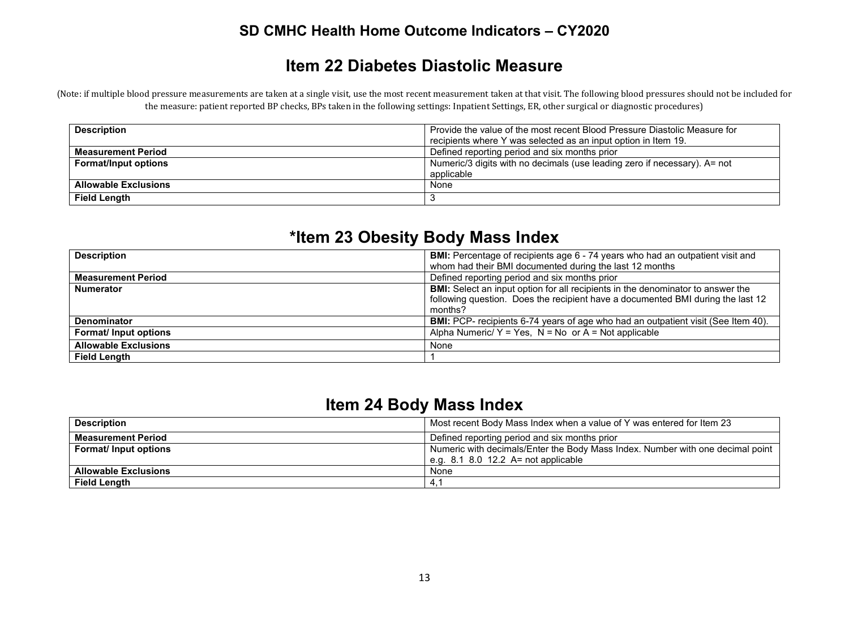## **Item 22 Diabetes Diastolic Measure**

(Note: if multiple blood pressure measurements are taken at a single visit, use the most recent measurement taken at that visit. The following blood pressures should not be included for the measure: patient reported BP checks, BPs taken in the following settings: Inpatient Settings, ER, other surgical or diagnostic procedures)

| <b>Description</b>          | Provide the value of the most recent Blood Pressure Diastolic Measure for<br>recipients where Y was selected as an input option in Item 19. |
|-----------------------------|---------------------------------------------------------------------------------------------------------------------------------------------|
| <b>Measurement Period</b>   | Defined reporting period and six months prior                                                                                               |
| <b>Format/Input options</b> | Numeric/3 digits with no decimals (use leading zero if necessary). A= not                                                                   |
|                             | applicable                                                                                                                                  |
| <b>Allowable Exclusions</b> | None                                                                                                                                        |
| <b>Field Length</b>         |                                                                                                                                             |

## **\*Item 23 Obesity Body Mass Index**

| <b>Description</b>          | <b>BMI:</b> Percentage of recipients age 6 - 74 years who had an outpatient visit and    |
|-----------------------------|------------------------------------------------------------------------------------------|
|                             | whom had their BMI documented during the last 12 months                                  |
| <b>Measurement Period</b>   | Defined reporting period and six months prior                                            |
| <b>Numerator</b>            | <b>BMI:</b> Select an input option for all recipients in the denominator to answer the   |
|                             | following question. Does the recipient have a documented BMI during the last 12          |
|                             | months?                                                                                  |
| <b>Denominator</b>          | <b>BMI:</b> PCP- recipients 6-74 years of age who had an outpatient visit (See Item 40). |
| Format/ Input options       | Alpha Numeric/ $Y = Yes$ , $N = No$ or $A = Not$ applicable                              |
| <b>Allowable Exclusions</b> | None                                                                                     |
| <b>Field Length</b>         |                                                                                          |

## **Item 24 Body Mass Index**

| <b>Description</b>          | Most recent Body Mass Index when a value of Y was entered for Item 23          |
|-----------------------------|--------------------------------------------------------------------------------|
| <b>Measurement Period</b>   | Defined reporting period and six months prior                                  |
| Format/ Input options       | Numeric with decimals/Enter the Body Mass Index. Number with one decimal point |
|                             | e.g. $8.1$ $8.0$ $12.2$ A= not applicable                                      |
| <b>Allowable Exclusions</b> | None                                                                           |
| <b>Field Length</b>         | 4.1                                                                            |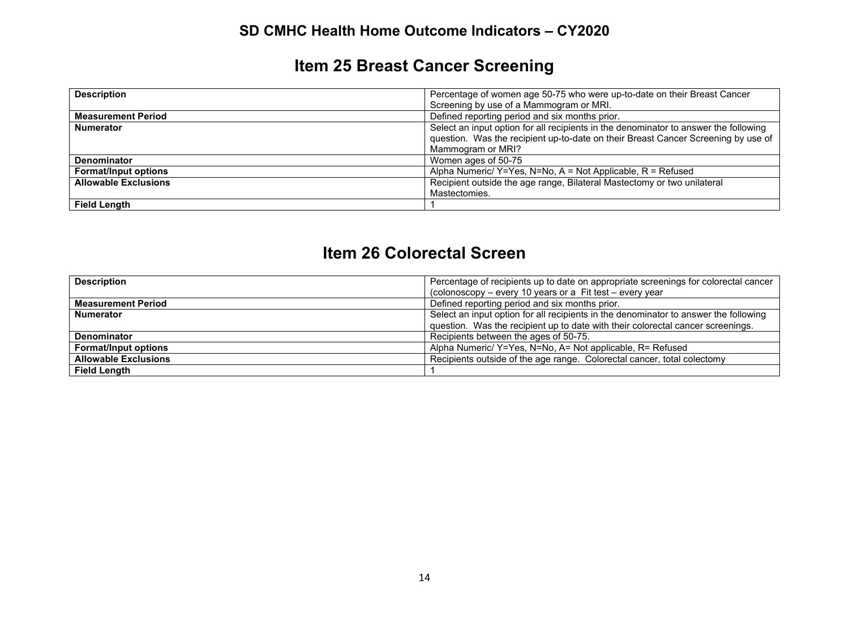## **Item 25 Breast Cancer Screening**

| <b>Description</b>          | Percentage of women age 50-75 who were up-to-date on their Breast Cancer                                                                                                                       |
|-----------------------------|------------------------------------------------------------------------------------------------------------------------------------------------------------------------------------------------|
|                             | Screening by use of a Mammogram or MRI.                                                                                                                                                        |
| <b>Measurement Period</b>   | Defined reporting period and six months prior.                                                                                                                                                 |
| <b>Numerator</b>            | Select an input option for all recipients in the denominator to answer the following<br>question. Was the recipient up-to-date on their Breast Cancer Screening by use of<br>Mammogram or MRI? |
| <b>Denominator</b>          | Women ages of 50-75                                                                                                                                                                            |
| <b>Format/Input options</b> | Alpha Numeric/ $Y = Yes$ , N=No, A = Not Applicable, R = Refused                                                                                                                               |
| <b>Allowable Exclusions</b> | Recipient outside the age range, Bilateral Mastectomy or two unilateral<br>Mastectomies.                                                                                                       |
| <b>Field Length</b>         |                                                                                                                                                                                                |

## **Item 26 Colorectal Screen**

| <b>Description</b>          | Percentage of recipients up to date on appropriate screenings for colorectal cancer  |
|-----------------------------|--------------------------------------------------------------------------------------|
|                             | (colonoscopy – every 10 years or a Fit test – every year                             |
| <b>Measurement Period</b>   | Defined reporting period and six months prior.                                       |
| <b>Numerator</b>            | Select an input option for all recipients in the denominator to answer the following |
|                             | question. Was the recipient up to date with their colorectal cancer screenings.      |
| <b>Denominator</b>          | Recipients between the ages of 50-75.                                                |
| <b>Format/Input options</b> | Alpha Numeric/ Y=Yes, N=No, A= Not applicable, R= Refused                            |
| <b>Allowable Exclusions</b> | Recipients outside of the age range. Colorectal cancer, total colectomy              |
| <b>Field Length</b>         |                                                                                      |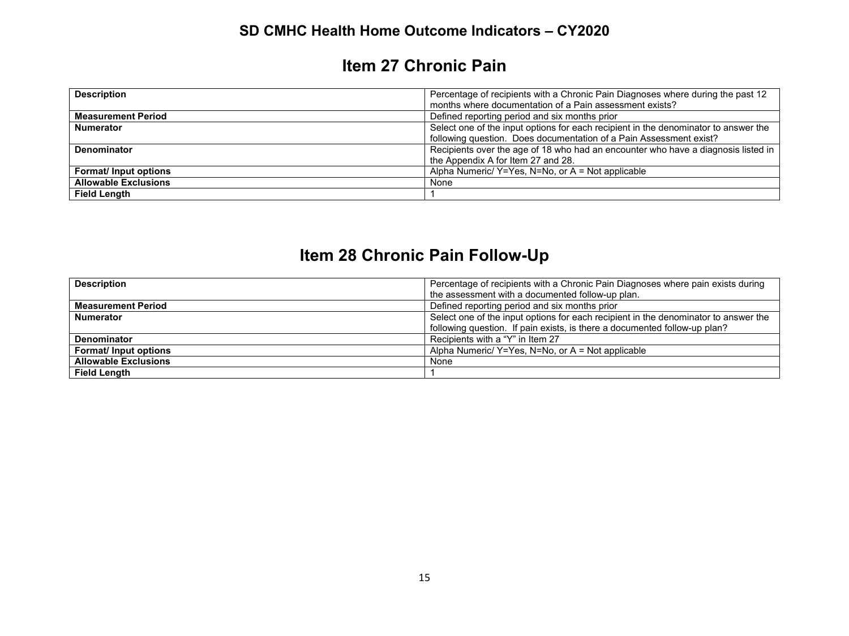## **Item 27 Chronic Pain**

| <b>Description</b>           | Percentage of recipients with a Chronic Pain Diagnoses where during the past 12     |
|------------------------------|-------------------------------------------------------------------------------------|
|                              | months where documentation of a Pain assessment exists?                             |
| <b>Measurement Period</b>    | Defined reporting period and six months prior                                       |
| <b>Numerator</b>             | Select one of the input options for each recipient in the denominator to answer the |
|                              | following question. Does documentation of a Pain Assessment exist?                  |
| <b>Denominator</b>           | Recipients over the age of 18 who had an encounter who have a diagnosis listed in   |
|                              | the Appendix A for Item 27 and 28.                                                  |
| <b>Format/ Input options</b> | Alpha Numeric/ Y=Yes, N=No, or A = Not applicable                                   |
| <b>Allowable Exclusions</b>  | None                                                                                |
| <b>Field Length</b>          |                                                                                     |

# **Item 28 Chronic Pain Follow-Up**

| <b>Description</b>          | Percentage of recipients with a Chronic Pain Diagnoses where pain exists during     |
|-----------------------------|-------------------------------------------------------------------------------------|
|                             | the assessment with a documented follow-up plan.                                    |
| <b>Measurement Period</b>   | Defined reporting period and six months prior                                       |
| <b>Numerator</b>            | Select one of the input options for each recipient in the denominator to answer the |
|                             | following question. If pain exists, is there a documented follow-up plan?           |
| <b>Denominator</b>          | Recipients with a "Y" in Item 27                                                    |
| <b>Format/Input options</b> | Alpha Numeric/ Y=Yes, N=No, or A = Not applicable                                   |
| <b>Allowable Exclusions</b> | None                                                                                |
| <b>Field Length</b>         |                                                                                     |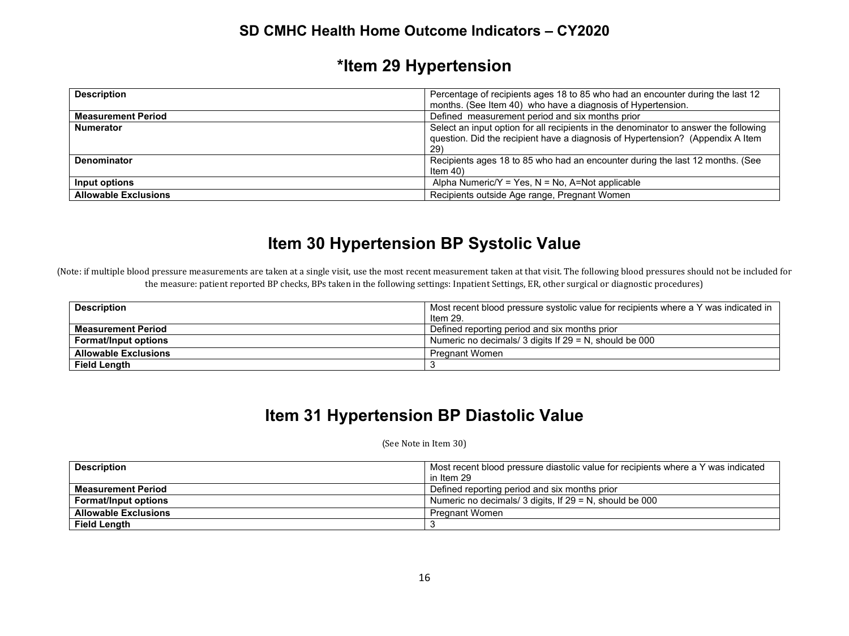## **\*Item 29 Hypertension**

| <b>Description</b>          | Percentage of recipients ages 18 to 85 who had an encounter during the last 12<br>months. (See Item 40) who have a diagnosis of Hypertension.                                 |
|-----------------------------|-------------------------------------------------------------------------------------------------------------------------------------------------------------------------------|
|                             |                                                                                                                                                                               |
| <b>Measurement Period</b>   | Defined measurement period and six months prior                                                                                                                               |
| <b>Numerator</b>            | Select an input option for all recipients in the denominator to answer the following<br>question. Did the recipient have a diagnosis of Hypertension? (Appendix A Item<br>29) |
| <b>Denominator</b>          | Recipients ages 18 to 85 who had an encounter during the last 12 months. (See<br>Item $40$ )                                                                                  |
| Input options               | Alpha Numeric/Y = Yes, N = No, A=Not applicable                                                                                                                               |
| <b>Allowable Exclusions</b> | Recipients outside Age range, Pregnant Women                                                                                                                                  |

## **Item 30 Hypertension BP Systolic Value**

(Note: if multiple blood pressure measurements are taken at a single visit, use the most recent measurement taken at that visit. The following blood pressures should not be included for the measure: patient reported BP checks, BPs taken in the following settings: Inpatient Settings, ER, other surgical or diagnostic procedures)

| <b>Description</b>          | Most recent blood pressure systolic value for recipients where a Y was indicated in |
|-----------------------------|-------------------------------------------------------------------------------------|
|                             | ltem 29.                                                                            |
| <b>Measurement Period</b>   | Defined reporting period and six months prior                                       |
| <b>Format/Input options</b> | Numeric no decimals/ 3 digits If $29 = N$ , should be 000                           |
| <b>Allowable Exclusions</b> | Pregnant Women                                                                      |
| <b>Field Length</b>         |                                                                                     |

## **Item 31 Hypertension BP Diastolic Value**

(See Note in Item 30)

| <b>Description</b>          | Most recent blood pressure diastolic value for recipients where a Y was indicated |
|-----------------------------|-----------------------------------------------------------------------------------|
|                             | in Item 29                                                                        |
| <b>Measurement Period</b>   | Defined reporting period and six months prior                                     |
| <b>Format/Input options</b> | Numeric no decimals/ 3 digits, If $29 = N$ , should be 000                        |
| <b>Allowable Exclusions</b> | <b>Pregnant Women</b>                                                             |
| <b>Field Length</b>         |                                                                                   |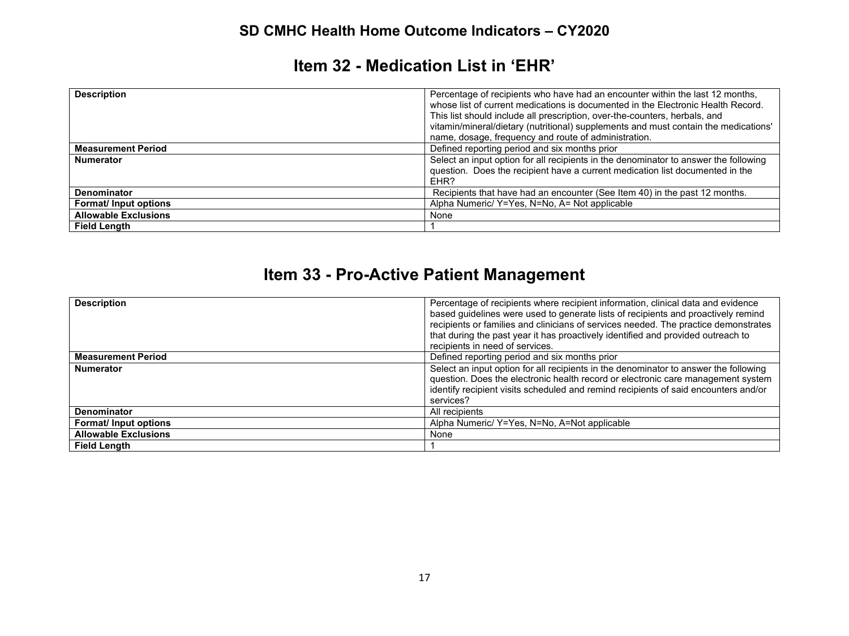## **Item 32 - Medication List in 'EHR'**

| <b>Description</b>          | Percentage of recipients who have had an encounter within the last 12 months,<br>whose list of current medications is documented in the Electronic Health Record.<br>This list should include all prescription, over-the-counters, herbals, and<br>vitamin/mineral/dietary (nutritional) supplements and must contain the medications'<br>name, dosage, frequency and route of administration. |
|-----------------------------|------------------------------------------------------------------------------------------------------------------------------------------------------------------------------------------------------------------------------------------------------------------------------------------------------------------------------------------------------------------------------------------------|
| <b>Measurement Period</b>   | Defined reporting period and six months prior                                                                                                                                                                                                                                                                                                                                                  |
| <b>Numerator</b>            | Select an input option for all recipients in the denominator to answer the following<br>question. Does the recipient have a current medication list documented in the<br>EHR?                                                                                                                                                                                                                  |
| <b>Denominator</b>          | Recipients that have had an encounter (See Item 40) in the past 12 months.                                                                                                                                                                                                                                                                                                                     |
| Format/ Input options       | Alpha Numeric/ Y=Yes, N=No, A= Not applicable                                                                                                                                                                                                                                                                                                                                                  |
| <b>Allowable Exclusions</b> | None                                                                                                                                                                                                                                                                                                                                                                                           |
| <b>Field Length</b>         |                                                                                                                                                                                                                                                                                                                                                                                                |

## **Item 33 - Pro-Active Patient Management**

| <b>Description</b>          | Percentage of recipients where recipient information, clinical data and evidence<br>based guidelines were used to generate lists of recipients and proactively remind<br>recipients or families and clinicians of services needed. The practice demonstrates<br>that during the past year it has proactively identified and provided outreach to<br>recipients in need of services. |
|-----------------------------|-------------------------------------------------------------------------------------------------------------------------------------------------------------------------------------------------------------------------------------------------------------------------------------------------------------------------------------------------------------------------------------|
| <b>Measurement Period</b>   | Defined reporting period and six months prior                                                                                                                                                                                                                                                                                                                                       |
| <b>Numerator</b>            | Select an input option for all recipients in the denominator to answer the following<br>question. Does the electronic health record or electronic care management system<br>identify recipient visits scheduled and remind recipients of said encounters and/or<br>services?                                                                                                        |
| <b>Denominator</b>          | All recipients                                                                                                                                                                                                                                                                                                                                                                      |
| <b>Format/Input options</b> | Alpha Numeric/ Y=Yes, N=No, A=Not applicable                                                                                                                                                                                                                                                                                                                                        |
| <b>Allowable Exclusions</b> | None                                                                                                                                                                                                                                                                                                                                                                                |
| <b>Field Lenath</b>         |                                                                                                                                                                                                                                                                                                                                                                                     |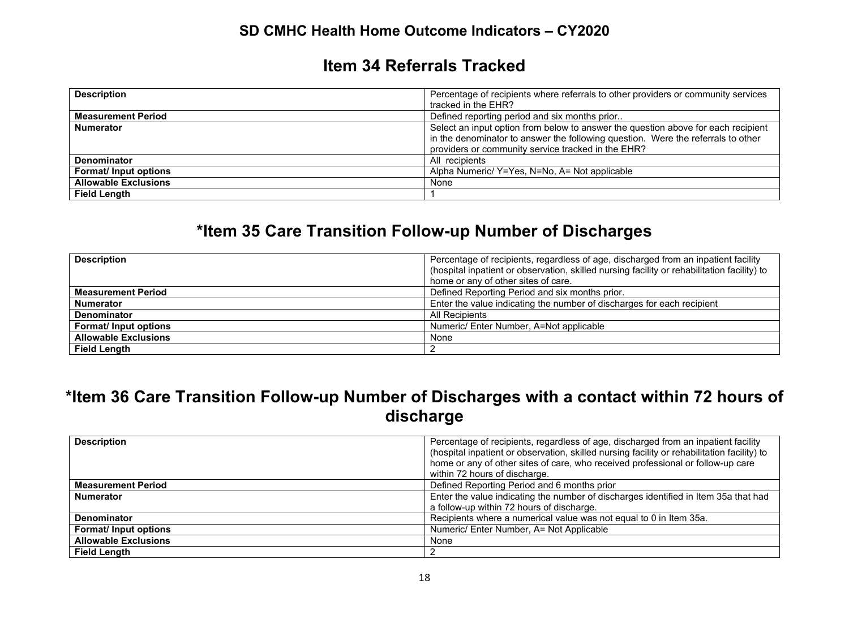### **Item 34 Referrals Tracked**

| <b>Description</b>          | Percentage of recipients where referrals to other providers or community services |
|-----------------------------|-----------------------------------------------------------------------------------|
|                             | tracked in the EHR?                                                               |
| <b>Measurement Period</b>   | Defined reporting period and six months prior                                     |
| <b>Numerator</b>            | Select an input option from below to answer the question above for each recipient |
|                             | in the denominator to answer the following question. Were the referrals to other  |
|                             | providers or community service tracked in the EHR?                                |
| <b>Denominator</b>          | All recipients                                                                    |
| Format/ Input options       | Alpha Numeric/ Y=Yes, N=No, A= Not applicable                                     |
| <b>Allowable Exclusions</b> | None                                                                              |
| <b>Field Length</b>         |                                                                                   |

## **\*Item 35 Care Transition Follow-up Number of Discharges**

| <b>Description</b>          | Percentage of recipients, regardless of age, discharged from an inpatient facility<br>(hospital inpatient or observation, skilled nursing facility or rehabilitation facility) to<br>home or any of other sites of care. |
|-----------------------------|--------------------------------------------------------------------------------------------------------------------------------------------------------------------------------------------------------------------------|
| <b>Measurement Period</b>   | Defined Reporting Period and six months prior.                                                                                                                                                                           |
| <b>Numerator</b>            | Enter the value indicating the number of discharges for each recipient                                                                                                                                                   |
| <b>Denominator</b>          | All Recipients                                                                                                                                                                                                           |
| <b>Format/Input options</b> | Numeric/ Enter Number, A=Not applicable                                                                                                                                                                                  |
| <b>Allowable Exclusions</b> | None                                                                                                                                                                                                                     |
| <b>Field Length</b>         |                                                                                                                                                                                                                          |

## **\*Item 36 Care Transition Follow-up Number of Discharges with a contact within 72 hours of discharge**

| <b>Description</b>           | Percentage of recipients, regardless of age, discharged from an inpatient facility<br>(hospital inpatient or observation, skilled nursing facility or rehabilitation facility) to<br>home or any of other sites of care, who received professional or follow-up care |
|------------------------------|----------------------------------------------------------------------------------------------------------------------------------------------------------------------------------------------------------------------------------------------------------------------|
|                              | within 72 hours of discharge.                                                                                                                                                                                                                                        |
| <b>Measurement Period</b>    | Defined Reporting Period and 6 months prior                                                                                                                                                                                                                          |
| <b>Numerator</b>             | Enter the value indicating the number of discharges identified in Item 35a that had                                                                                                                                                                                  |
|                              | a follow-up within 72 hours of discharge.                                                                                                                                                                                                                            |
| <b>Denominator</b>           | Recipients where a numerical value was not equal to 0 in Item 35a.                                                                                                                                                                                                   |
| <b>Format/ Input options</b> | Numeric/ Enter Number, A= Not Applicable                                                                                                                                                                                                                             |
| <b>Allowable Exclusions</b>  | None                                                                                                                                                                                                                                                                 |
| <b>Field Length</b>          | 2                                                                                                                                                                                                                                                                    |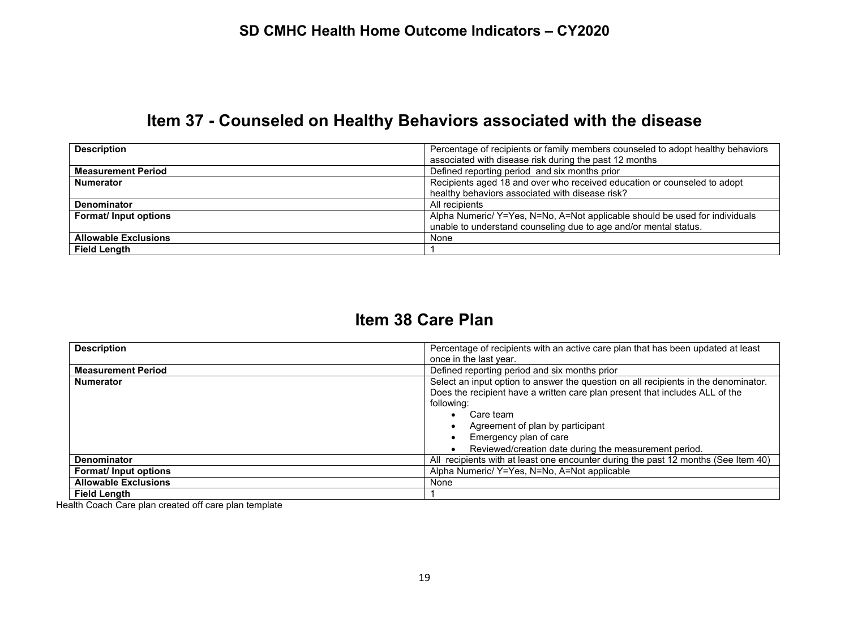## **Item 37 - Counseled on Healthy Behaviors associated with the disease**

| <b>Description</b>          | Percentage of recipients or family members counseled to adopt healthy behaviors |
|-----------------------------|---------------------------------------------------------------------------------|
|                             | associated with disease risk during the past 12 months                          |
| <b>Measurement Period</b>   | Defined reporting period and six months prior                                   |
| <b>Numerator</b>            | Recipients aged 18 and over who received education or counseled to adopt        |
|                             | healthy behaviors associated with disease risk?                                 |
| <b>Denominator</b>          | All recipients                                                                  |
| Format/ Input options       | Alpha Numeric/Y=Yes, N=No, A=Not applicable should be used for individuals      |
|                             | unable to understand counseling due to age and/or mental status.                |
| <b>Allowable Exclusions</b> | None                                                                            |
| <b>Field Length</b>         |                                                                                 |

## **Item 38 Care Plan**

| <b>Description</b>          | Percentage of recipients with an active care plan that has been updated at least    |
|-----------------------------|-------------------------------------------------------------------------------------|
|                             | once in the last year.                                                              |
| <b>Measurement Period</b>   | Defined reporting period and six months prior                                       |
| <b>Numerator</b>            | Select an input option to answer the question on all recipients in the denominator. |
|                             | Does the recipient have a written care plan present that includes ALL of the        |
|                             | following:                                                                          |
|                             | Care team<br>$\bullet$                                                              |
|                             | Agreement of plan by participant<br>٠                                               |
|                             | Emergency plan of care                                                              |
|                             | Reviewed/creation date during the measurement period.                               |
| <b>Denominator</b>          | All recipients with at least one encounter during the past 12 months (See Item 40)  |
| <b>Format/Input options</b> | Alpha Numeric/ Y=Yes, N=No, A=Not applicable                                        |
| <b>Allowable Exclusions</b> | None                                                                                |
| <b>Field Lenath</b>         |                                                                                     |

Health Coach Care plan created off care plan template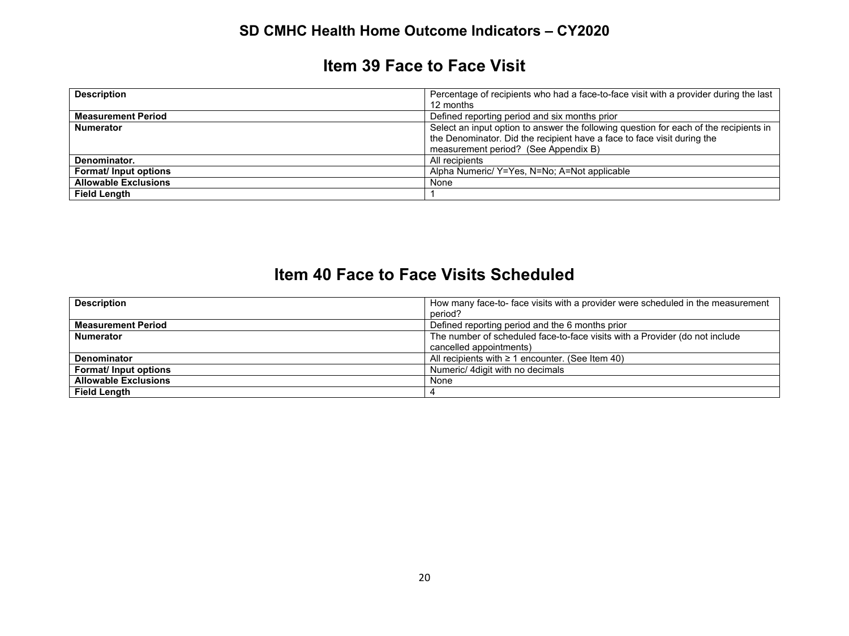### **Item 39 Face to Face Visit**

| <b>Description</b>          | Percentage of recipients who had a face-to-face visit with a provider during the last |
|-----------------------------|---------------------------------------------------------------------------------------|
|                             | 12 months                                                                             |
| <b>Measurement Period</b>   | Defined reporting period and six months prior                                         |
| <b>Numerator</b>            | Select an input option to answer the following question for each of the recipients in |
|                             | the Denominator. Did the recipient have a face to face visit during the               |
|                             | measurement period? (See Appendix B)                                                  |
| Denominator.                | All recipients                                                                        |
| Format/ Input options       | Alpha Numeric/ Y=Yes, N=No; A=Not applicable                                          |
| <b>Allowable Exclusions</b> | None                                                                                  |
| <b>Field Length</b>         |                                                                                       |

## **Item 40 Face to Face Visits Scheduled**

| <b>Description</b>          | How many face-to- face visits with a provider were scheduled in the measurement |
|-----------------------------|---------------------------------------------------------------------------------|
|                             | period?                                                                         |
| <b>Measurement Period</b>   | Defined reporting period and the 6 months prior                                 |
| <b>Numerator</b>            | The number of scheduled face-to-face visits with a Provider (do not include     |
|                             | cancelled appointments)                                                         |
| <b>Denominator</b>          | All recipients with $\geq 1$ encounter. (See Item 40)                           |
| <b>Format/Input options</b> | Numeric/ 4 digit with no decimals                                               |
| <b>Allowable Exclusions</b> | None                                                                            |
| <b>Field Lenath</b>         |                                                                                 |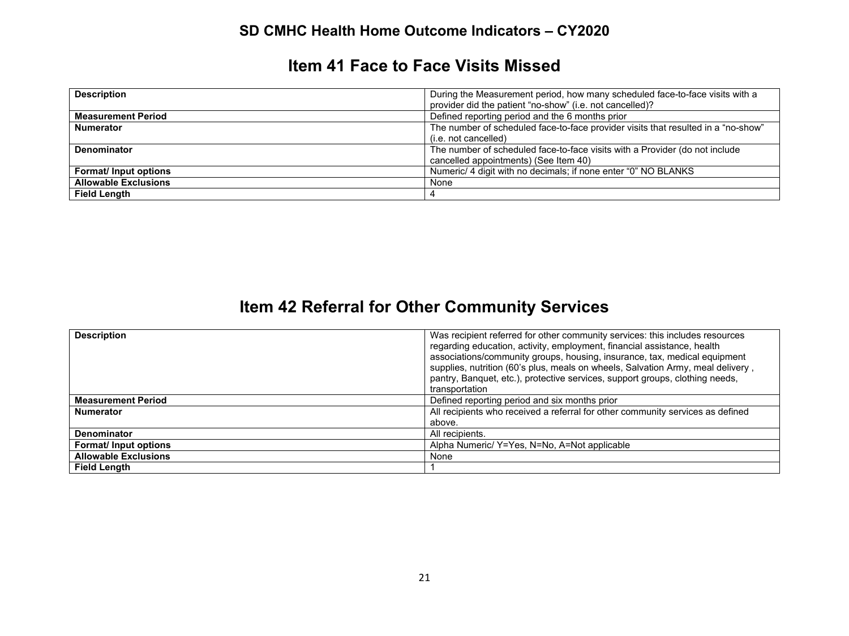### **Item 41 Face to Face Visits Missed**

| <b>Description</b>          | During the Measurement period, how many scheduled face-to-face visits with a      |
|-----------------------------|-----------------------------------------------------------------------------------|
|                             | provider did the patient "no-show" (i.e. not cancelled)?                          |
| <b>Measurement Period</b>   | Defined reporting period and the 6 months prior                                   |
| <b>Numerator</b>            | The number of scheduled face-to-face provider visits that resulted in a "no-show" |
|                             | (i.e. not cancelled)                                                              |
| <b>Denominator</b>          | The number of scheduled face-to-face visits with a Provider (do not include       |
|                             | cancelled appointments) (See Item 40)                                             |
| <b>Format/Input options</b> | Numeric/ 4 digit with no decimals; if none enter "0" NO BLANKS                    |
| <b>Allowable Exclusions</b> | None                                                                              |
| <b>Field Length</b>         | 4                                                                                 |

# **Item 42 Referral for Other Community Services**

| <b>Description</b>          | Was recipient referred for other community services: this includes resources    |
|-----------------------------|---------------------------------------------------------------------------------|
|                             | regarding education, activity, employment, financial assistance, health         |
|                             | associations/community groups, housing, insurance, tax, medical equipment       |
|                             | supplies, nutrition (60's plus, meals on wheels, Salvation Army, meal delivery, |
|                             | pantry, Banquet, etc.), protective services, support groups, clothing needs,    |
|                             | transportation                                                                  |
| <b>Measurement Period</b>   | Defined reporting period and six months prior                                   |
| <b>Numerator</b>            | All recipients who received a referral for other community services as defined  |
|                             | above.                                                                          |
| <b>Denominator</b>          | All recipients.                                                                 |
| Format/ Input options       | Alpha Numeric/ Y=Yes, N=No, A=Not applicable                                    |
| <b>Allowable Exclusions</b> | None                                                                            |
| <b>Field Length</b>         |                                                                                 |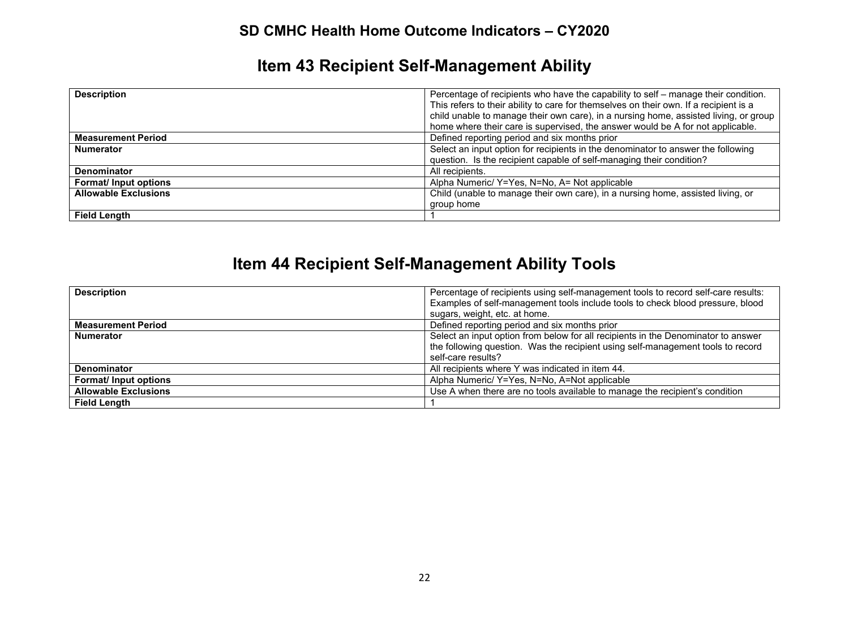## **Item 43 Recipient Self-Management Ability**

| <b>Description</b>          | Percentage of recipients who have the capability to self – manage their condition.<br>This refers to their ability to care for themselves on their own. If a recipient is a<br>child unable to manage their own care), in a nursing home, assisted living, or group |
|-----------------------------|---------------------------------------------------------------------------------------------------------------------------------------------------------------------------------------------------------------------------------------------------------------------|
|                             | home where their care is supervised, the answer would be A for not applicable.                                                                                                                                                                                      |
| <b>Measurement Period</b>   | Defined reporting period and six months prior                                                                                                                                                                                                                       |
| <b>Numerator</b>            | Select an input option for recipients in the denominator to answer the following                                                                                                                                                                                    |
|                             | question. Is the recipient capable of self-managing their condition?                                                                                                                                                                                                |
| <b>Denominator</b>          | All recipients.                                                                                                                                                                                                                                                     |
| Format/ Input options       | Alpha Numeric/ Y=Yes, N=No, A= Not applicable                                                                                                                                                                                                                       |
| <b>Allowable Exclusions</b> | Child (unable to manage their own care), in a nursing home, assisted living, or                                                                                                                                                                                     |
|                             | group home                                                                                                                                                                                                                                                          |
| <b>Field Length</b>         |                                                                                                                                                                                                                                                                     |

## **Item 44 Recipient Self-Management Ability Tools**

| <b>Description</b>          | Percentage of recipients using self-management tools to record self-care results:<br>Examples of self-management tools include tools to check blood pressure, blood<br>sugars, weight, etc. at home. |
|-----------------------------|------------------------------------------------------------------------------------------------------------------------------------------------------------------------------------------------------|
| <b>Measurement Period</b>   | Defined reporting period and six months prior                                                                                                                                                        |
| <b>Numerator</b>            | Select an input option from below for all recipients in the Denominator to answer<br>the following question. Was the recipient using self-management tools to record<br>self-care results?           |
| Denominator                 | All recipients where Y was indicated in item 44.                                                                                                                                                     |
| Format/ Input options       | Alpha Numeric/ Y=Yes, N=No, A=Not applicable                                                                                                                                                         |
| <b>Allowable Exclusions</b> | Use A when there are no tools available to manage the recipient's condition                                                                                                                          |
| <b>Field Length</b>         |                                                                                                                                                                                                      |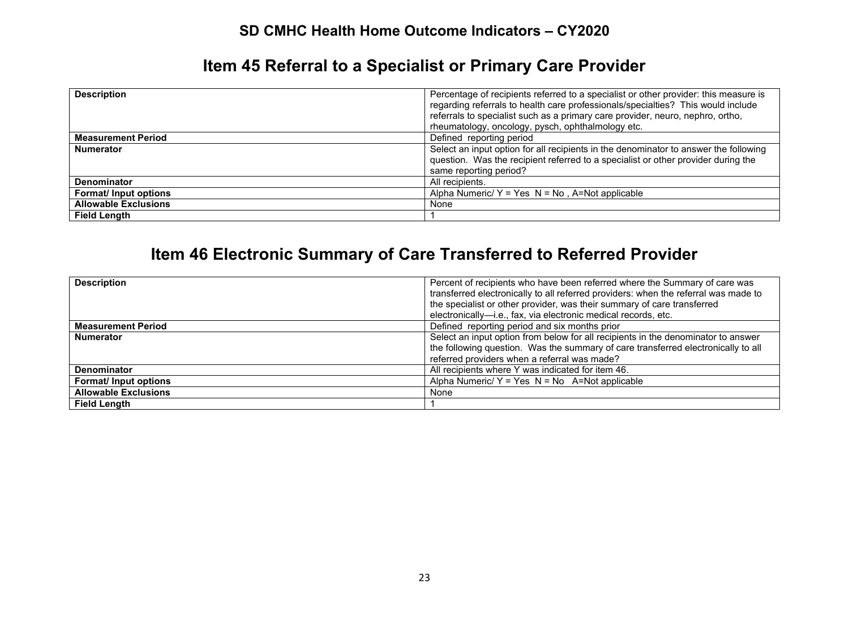## **Item 45 Referral to a Specialist or Primary Care Provider**

| <b>Description</b>          | Percentage of recipients referred to a specialist or other provider: this measure is<br>regarding referrals to health care professionals/specialties? This would include<br>referrals to specialist such as a primary care provider, neuro, nephro, ortho,<br>rheumatology, oncology, pysch, ophthalmology etc. |
|-----------------------------|-----------------------------------------------------------------------------------------------------------------------------------------------------------------------------------------------------------------------------------------------------------------------------------------------------------------|
| <b>Measurement Period</b>   | Defined reporting period                                                                                                                                                                                                                                                                                        |
| <b>Numerator</b>            | Select an input option for all recipients in the denominator to answer the following                                                                                                                                                                                                                            |
|                             | question. Was the recipient referred to a specialist or other provider during the                                                                                                                                                                                                                               |
|                             | same reporting period?                                                                                                                                                                                                                                                                                          |
| <b>Denominator</b>          | All recipients.                                                                                                                                                                                                                                                                                                 |
| Format/ Input options       | Alpha Numeric/ $Y = Yes$ N = No, A=Not applicable                                                                                                                                                                                                                                                               |
| <b>Allowable Exclusions</b> | None                                                                                                                                                                                                                                                                                                            |
| <b>Field Length</b>         |                                                                                                                                                                                                                                                                                                                 |

# **Item 46 Electronic Summary of Care Transferred to Referred Provider**

| <b>Description</b>          | Percent of recipients who have been referred where the Summary of care was          |
|-----------------------------|-------------------------------------------------------------------------------------|
|                             | transferred electronically to all referred providers: when the referral was made to |
|                             | the specialist or other provider, was their summary of care transferred             |
|                             | electronically-i.e., fax, via electronic medical records, etc.                      |
| <b>Measurement Period</b>   | Defined reporting period and six months prior                                       |
| <b>Numerator</b>            | Select an input option from below for all recipients in the denominator to answer   |
|                             | the following question. Was the summary of care transferred electronically to all   |
|                             | referred providers when a referral was made?                                        |
| <b>Denominator</b>          | All recipients where Y was indicated for item 46.                                   |
| Format/ Input options       | Alpha Numeric/ $Y = Yes$ N = No A=Not applicable                                    |
| <b>Allowable Exclusions</b> | None                                                                                |
| <b>Field Length</b>         |                                                                                     |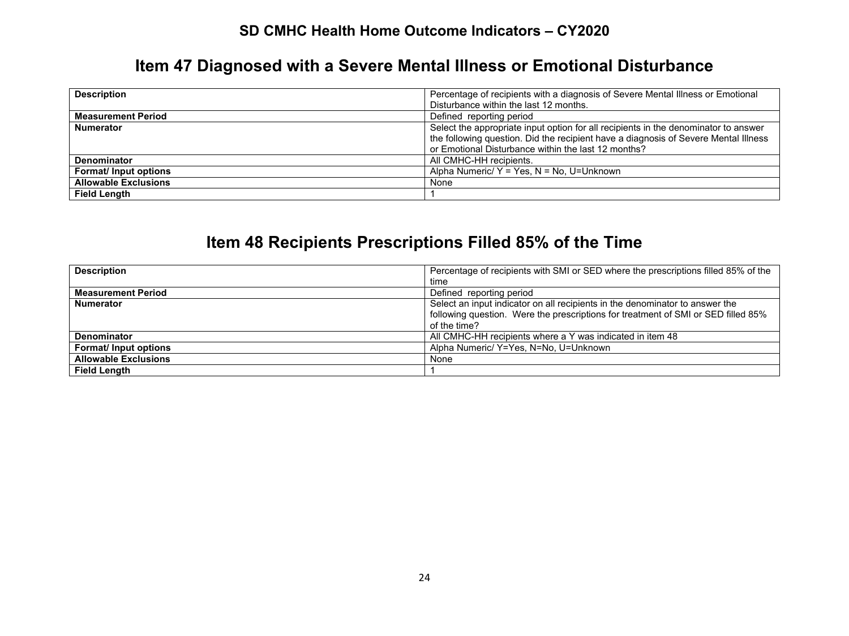## **Item 47 Diagnosed with a Severe Mental Illness or Emotional Disturbance**

| <b>Description</b>          | Percentage of recipients with a diagnosis of Severe Mental Illness or Emotional     |
|-----------------------------|-------------------------------------------------------------------------------------|
|                             | Disturbance within the last 12 months.                                              |
| <b>Measurement Period</b>   | Defined reporting period                                                            |
| <b>Numerator</b>            | Select the appropriate input option for all recipients in the denominator to answer |
|                             | the following question. Did the recipient have a diagnosis of Severe Mental Illness |
|                             | or Emotional Disturbance within the last 12 months?                                 |
| Denominator                 | All CMHC-HH recipients.                                                             |
| Format/ Input options       | Alpha Numeric/ $Y = Yes$ , $N = No$ , U=Unknown                                     |
| <b>Allowable Exclusions</b> | None                                                                                |
| <b>Field Length</b>         |                                                                                     |

## **Item 48 Recipients Prescriptions Filled 85% of the Time**

| <b>Description</b>          | Percentage of recipients with SMI or SED where the prescriptions filled 85% of the |
|-----------------------------|------------------------------------------------------------------------------------|
|                             | time                                                                               |
| <b>Measurement Period</b>   | Defined reporting period                                                           |
| <b>Numerator</b>            | Select an input indicator on all recipients in the denominator to answer the       |
|                             | following question. Were the prescriptions for treatment of SMI or SED filled 85%  |
|                             | of the time?                                                                       |
| <b>Denominator</b>          | All CMHC-HH recipients where a Y was indicated in item 48                          |
| Format/ Input options       | Alpha Numeric/ Y=Yes, N=No, U=Unknown                                              |
| <b>Allowable Exclusions</b> | None                                                                               |
| <b>Field Length</b>         |                                                                                    |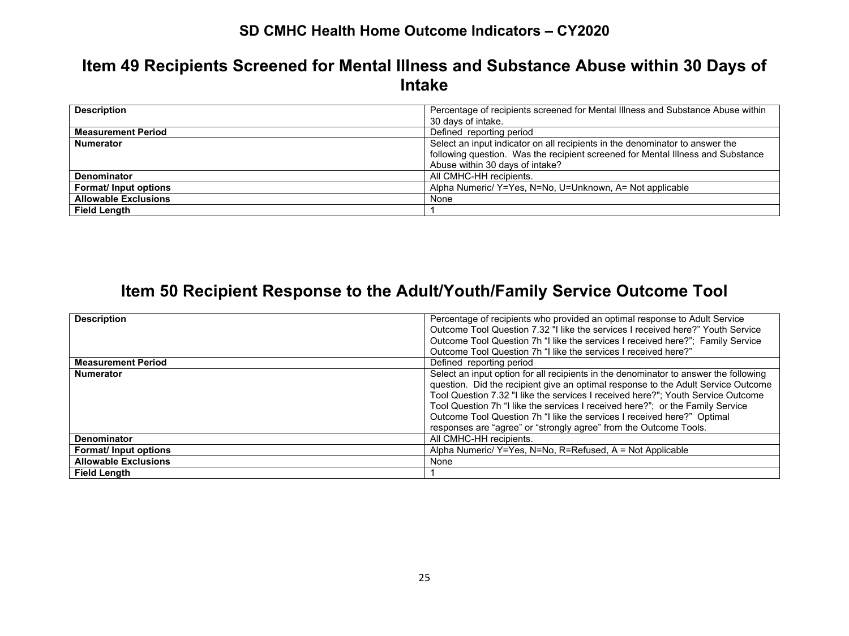## **Item 49 Recipients Screened for Mental Illness and Substance Abuse within 30 Days of Intake**

| <b>Description</b>          | Percentage of recipients screened for Mental Illness and Substance Abuse within |
|-----------------------------|---------------------------------------------------------------------------------|
|                             | 30 days of intake.                                                              |
| <b>Measurement Period</b>   | Defined reporting period                                                        |
| <b>Numerator</b>            | Select an input indicator on all recipients in the denominator to answer the    |
|                             | following question. Was the recipient screened for Mental Illness and Substance |
|                             | Abuse within 30 days of intake?                                                 |
| <b>Denominator</b>          | All CMHC-HH recipients.                                                         |
| Format/ Input options       | Alpha Numeric/ Y=Yes, N=No, U=Unknown, A= Not applicable                        |
| <b>Allowable Exclusions</b> | None                                                                            |
| <b>Field Lenath</b>         |                                                                                 |

## **Item 50 Recipient Response to the Adult/Youth/Family Service Outcome Tool**

| <b>Description</b>          | Percentage of recipients who provided an optimal response to Adult Service<br>Outcome Tool Question 7.32 "I like the services I received here?" Youth Service                                                                                                                                                                                                                                                                                                                                   |
|-----------------------------|-------------------------------------------------------------------------------------------------------------------------------------------------------------------------------------------------------------------------------------------------------------------------------------------------------------------------------------------------------------------------------------------------------------------------------------------------------------------------------------------------|
|                             | Outcome Tool Question 7h "I like the services I received here?"; Family Service<br>Outcome Tool Question 7h "I like the services I received here?"                                                                                                                                                                                                                                                                                                                                              |
| <b>Measurement Period</b>   | Defined reporting period                                                                                                                                                                                                                                                                                                                                                                                                                                                                        |
| <b>Numerator</b>            | Select an input option for all recipients in the denominator to answer the following<br>question. Did the recipient give an optimal response to the Adult Service Outcome<br>Tool Question 7.32 "I like the services I received here?"; Youth Service Outcome<br>Tool Question 7h "I like the services I received here?"; or the Family Service<br>Outcome Tool Question 7h "I like the services I received here?" Optimal<br>responses are "agree" or "strongly agree" from the Outcome Tools. |
| <b>Denominator</b>          | All CMHC-HH recipients.                                                                                                                                                                                                                                                                                                                                                                                                                                                                         |
| Format/ Input options       | Alpha Numeric/ Y=Yes, N=No, R=Refused, A = Not Applicable                                                                                                                                                                                                                                                                                                                                                                                                                                       |
| <b>Allowable Exclusions</b> | None                                                                                                                                                                                                                                                                                                                                                                                                                                                                                            |
| <b>Field Length</b>         |                                                                                                                                                                                                                                                                                                                                                                                                                                                                                                 |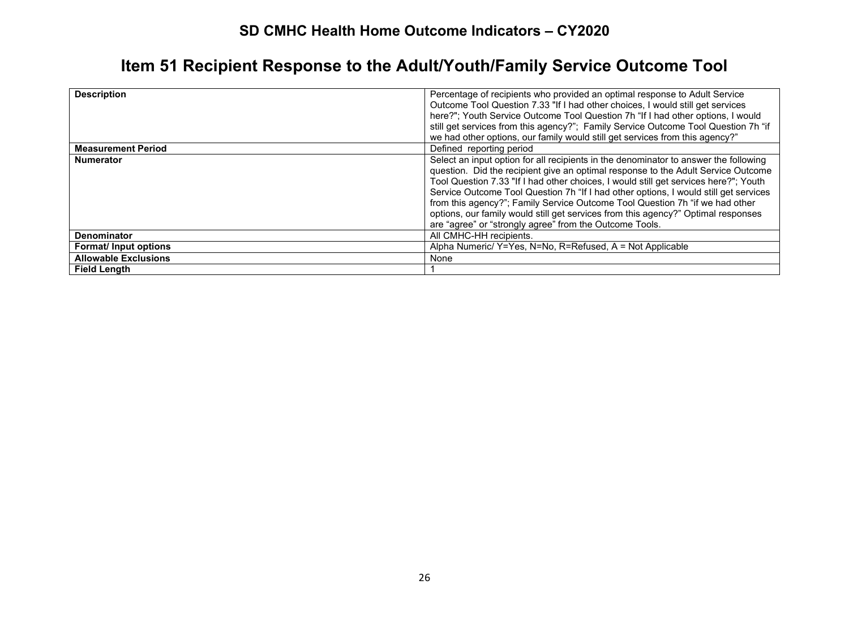# **Item 51 Recipient Response to the Adult/Youth/Family Service Outcome Tool**

| <b>Description</b>          | Percentage of recipients who provided an optimal response to Adult Service<br>Outcome Tool Question 7.33 "If I had other choices, I would still get services<br>here?"; Youth Service Outcome Tool Question 7h "If I had other options, I would<br>still get services from this agency?"; Family Service Outcome Tool Question 7h "if                                                                                                                                                                                                                                                     |
|-----------------------------|-------------------------------------------------------------------------------------------------------------------------------------------------------------------------------------------------------------------------------------------------------------------------------------------------------------------------------------------------------------------------------------------------------------------------------------------------------------------------------------------------------------------------------------------------------------------------------------------|
|                             | we had other options, our family would still get services from this agency?"                                                                                                                                                                                                                                                                                                                                                                                                                                                                                                              |
| <b>Measurement Period</b>   | Defined reporting period                                                                                                                                                                                                                                                                                                                                                                                                                                                                                                                                                                  |
| <b>Numerator</b>            | Select an input option for all recipients in the denominator to answer the following<br>question. Did the recipient give an optimal response to the Adult Service Outcome<br>Tool Question 7.33 "If I had other choices, I would still get services here?"; Youth<br>Service Outcome Tool Question 7h "If I had other options, I would still get services<br>from this agency?"; Family Service Outcome Tool Question 7h "if we had other<br>options, our family would still get services from this agency?" Optimal responses<br>are "agree" or "strongly agree" from the Outcome Tools. |
| <b>Denominator</b>          | All CMHC-HH recipients.                                                                                                                                                                                                                                                                                                                                                                                                                                                                                                                                                                   |
| Format/ Input options       | Alpha Numeric/ Y=Yes, N=No, R=Refused, A = Not Applicable                                                                                                                                                                                                                                                                                                                                                                                                                                                                                                                                 |
| <b>Allowable Exclusions</b> | None                                                                                                                                                                                                                                                                                                                                                                                                                                                                                                                                                                                      |
| <b>Field Length</b>         |                                                                                                                                                                                                                                                                                                                                                                                                                                                                                                                                                                                           |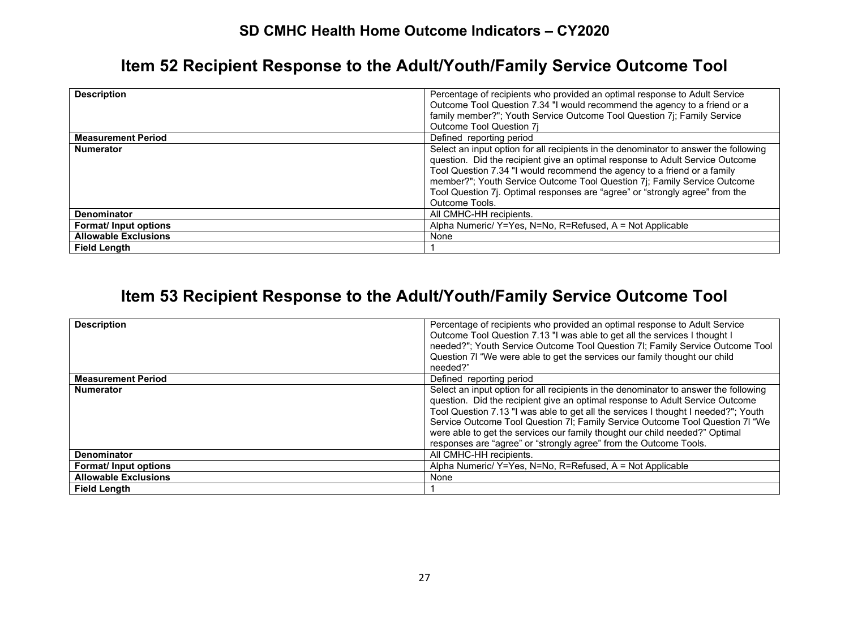## **Item 52 Recipient Response to the Adult/Youth/Family Service Outcome Tool**

| <b>Description</b>          | Percentage of recipients who provided an optimal response to Adult Service<br>Outcome Tool Question 7.34 "I would recommend the agency to a friend or a<br>family member?"; Youth Service Outcome Tool Question 7j; Family Service                                                                                                                                                                                              |
|-----------------------------|---------------------------------------------------------------------------------------------------------------------------------------------------------------------------------------------------------------------------------------------------------------------------------------------------------------------------------------------------------------------------------------------------------------------------------|
| <b>Measurement Period</b>   | Outcome Tool Question 7j<br>Defined reporting period                                                                                                                                                                                                                                                                                                                                                                            |
| <b>Numerator</b>            | Select an input option for all recipients in the denominator to answer the following<br>question. Did the recipient give an optimal response to Adult Service Outcome<br>Tool Question 7.34 "I would recommend the agency to a friend or a family<br>member?"; Youth Service Outcome Tool Question 7j; Family Service Outcome<br>Tool Question 7j. Optimal responses are "agree" or "strongly agree" from the<br>Outcome Tools. |
| <b>Denominator</b>          | All CMHC-HH recipients.                                                                                                                                                                                                                                                                                                                                                                                                         |
| Format/ Input options       | Alpha Numeric/ Y=Yes, N=No, R=Refused, A = Not Applicable                                                                                                                                                                                                                                                                                                                                                                       |
| <b>Allowable Exclusions</b> | None                                                                                                                                                                                                                                                                                                                                                                                                                            |
| <b>Field Lenath</b>         |                                                                                                                                                                                                                                                                                                                                                                                                                                 |

## **Item 53 Recipient Response to the Adult/Youth/Family Service Outcome Tool**

| <b>Description</b>          | Percentage of recipients who provided an optimal response to Adult Service<br>Outcome Tool Question 7.13 "I was able to get all the services I thought I<br>needed?"; Youth Service Outcome Tool Question 7I; Family Service Outcome Tool<br>Question 7I "We were able to get the services our family thought our child<br>needed?"                                                                                                                                                              |
|-----------------------------|--------------------------------------------------------------------------------------------------------------------------------------------------------------------------------------------------------------------------------------------------------------------------------------------------------------------------------------------------------------------------------------------------------------------------------------------------------------------------------------------------|
| <b>Measurement Period</b>   | Defined reporting period                                                                                                                                                                                                                                                                                                                                                                                                                                                                         |
| <b>Numerator</b>            | Select an input option for all recipients in the denominator to answer the following<br>question. Did the recipient give an optimal response to Adult Service Outcome<br>Tool Question 7.13 "I was able to get all the services I thought I needed?"; Youth<br>Service Outcome Tool Question 7I; Family Service Outcome Tool Question 7I "We<br>were able to get the services our family thought our child needed?" Optimal<br>responses are "agree" or "strongly agree" from the Outcome Tools. |
| <b>Denominator</b>          | All CMHC-HH recipients.                                                                                                                                                                                                                                                                                                                                                                                                                                                                          |
| Format/ Input options       | Alpha Numeric/ Y=Yes, N=No, R=Refused, A = Not Applicable                                                                                                                                                                                                                                                                                                                                                                                                                                        |
| <b>Allowable Exclusions</b> | None                                                                                                                                                                                                                                                                                                                                                                                                                                                                                             |
| <b>Field Length</b>         |                                                                                                                                                                                                                                                                                                                                                                                                                                                                                                  |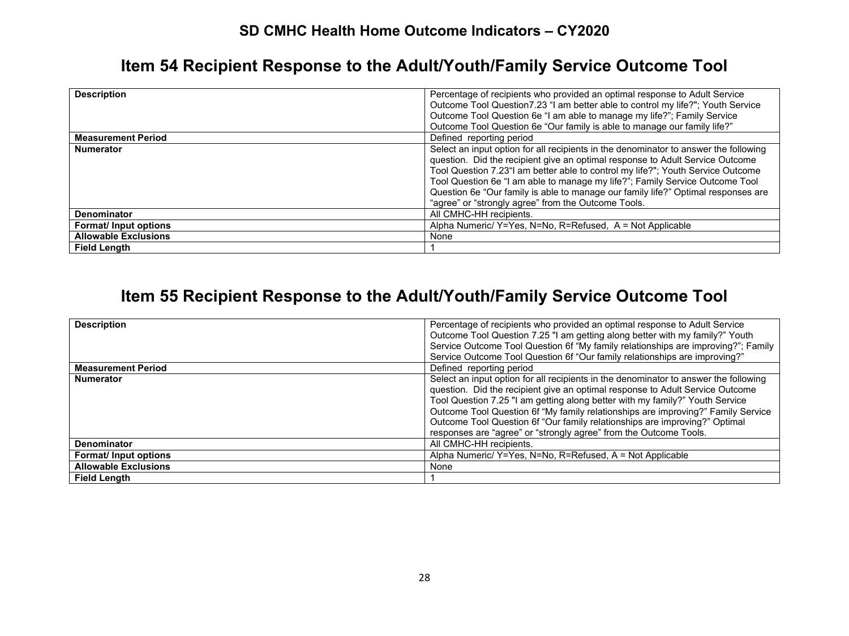## **Item 54 Recipient Response to the Adult/Youth/Family Service Outcome Tool**

| <b>Description</b>          | Percentage of recipients who provided an optimal response to Adult Service                                                                                                                                                                                                                                                                                                                                                                                                           |
|-----------------------------|--------------------------------------------------------------------------------------------------------------------------------------------------------------------------------------------------------------------------------------------------------------------------------------------------------------------------------------------------------------------------------------------------------------------------------------------------------------------------------------|
|                             | Outcome Tool Question7.23 "I am better able to control my life?"; Youth Service                                                                                                                                                                                                                                                                                                                                                                                                      |
|                             | Outcome Tool Question 6e "I am able to manage my life?"; Family Service                                                                                                                                                                                                                                                                                                                                                                                                              |
|                             | Outcome Tool Question 6e "Our family is able to manage our family life?"                                                                                                                                                                                                                                                                                                                                                                                                             |
| <b>Measurement Period</b>   | Defined reporting period                                                                                                                                                                                                                                                                                                                                                                                                                                                             |
| <b>Numerator</b>            | Select an input option for all recipients in the denominator to answer the following<br>question. Did the recipient give an optimal response to Adult Service Outcome<br>Tool Question 7.23"I am better able to control my life?"; Youth Service Outcome<br>Tool Question 6e "I am able to manage my life?"; Family Service Outcome Tool<br>Question 6e "Our family is able to manage our family life?" Optimal responses are<br>"agree" or "strongly agree" from the Outcome Tools. |
| <b>Denominator</b>          | All CMHC-HH recipients.                                                                                                                                                                                                                                                                                                                                                                                                                                                              |
| Format/ Input options       | Alpha Numeric/Y=Yes, N=No, R=Refused, A = Not Applicable                                                                                                                                                                                                                                                                                                                                                                                                                             |
| <b>Allowable Exclusions</b> | None                                                                                                                                                                                                                                                                                                                                                                                                                                                                                 |
| <b>Field Lenath</b>         |                                                                                                                                                                                                                                                                                                                                                                                                                                                                                      |

## **Item 55 Recipient Response to the Adult/Youth/Family Service Outcome Tool**

| <b>Description</b>          | Percentage of recipients who provided an optimal response to Adult Service           |
|-----------------------------|--------------------------------------------------------------------------------------|
|                             | Outcome Tool Question 7.25 "I am getting along better with my family?" Youth         |
|                             | Service Outcome Tool Question 6f "My family relationships are improving?"; Family    |
|                             | Service Outcome Tool Question 6f "Our family relationships are improving?"           |
| <b>Measurement Period</b>   | Defined reporting period                                                             |
| <b>Numerator</b>            | Select an input option for all recipients in the denominator to answer the following |
|                             | question. Did the recipient give an optimal response to Adult Service Outcome        |
|                             | Tool Question 7.25 "I am getting along better with my family?" Youth Service         |
|                             | Outcome Tool Question 6f "My family relationships are improving?" Family Service     |
|                             | Outcome Tool Question 6f "Our family relationships are improving?" Optimal           |
|                             | responses are "agree" or "strongly agree" from the Outcome Tools.                    |
| <b>Denominator</b>          | All CMHC-HH recipients.                                                              |
| Format/ Input options       | Alpha Numeric/ Y=Yes, N=No, R=Refused, A = Not Applicable                            |
| <b>Allowable Exclusions</b> | None                                                                                 |
| <b>Field Lenath</b>         |                                                                                      |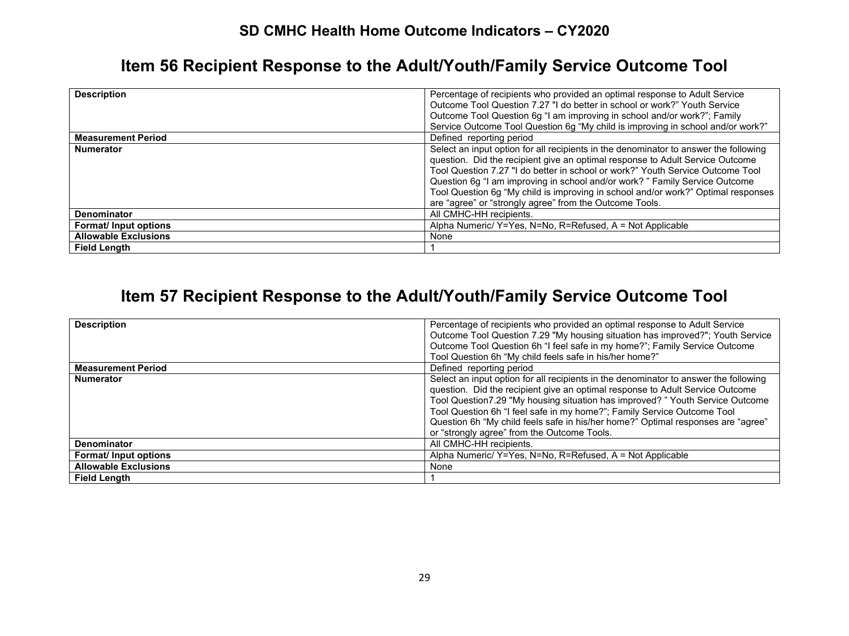## **Item 56 Recipient Response to the Adult/Youth/Family Service Outcome Tool**

| <b>Description</b>          | Percentage of recipients who provided an optimal response to Adult Service<br>Outcome Tool Question 7.27 "I do better in school or work?" Youth Service<br>Outcome Tool Question 6g "I am improving in school and/or work?"; Family<br>Service Outcome Tool Question 6g "My child is improving in school and/or work?"                                                                                                                                                                |
|-----------------------------|---------------------------------------------------------------------------------------------------------------------------------------------------------------------------------------------------------------------------------------------------------------------------------------------------------------------------------------------------------------------------------------------------------------------------------------------------------------------------------------|
| <b>Measurement Period</b>   | Defined reporting period                                                                                                                                                                                                                                                                                                                                                                                                                                                              |
| <b>Numerator</b>            | Select an input option for all recipients in the denominator to answer the following<br>question. Did the recipient give an optimal response to Adult Service Outcome<br>Tool Question 7.27 "I do better in school or work?" Youth Service Outcome Tool<br>Question 6g "I am improving in school and/or work?" Family Service Outcome<br>Tool Question 6g "My child is improving in school and/or work?" Optimal responses<br>are "agree" or "strongly agree" from the Outcome Tools. |
| <b>Denominator</b>          | All CMHC-HH recipients.                                                                                                                                                                                                                                                                                                                                                                                                                                                               |
| Format/ Input options       | Alpha Numeric/ Y=Yes, N=No, R=Refused, A = Not Applicable                                                                                                                                                                                                                                                                                                                                                                                                                             |
| <b>Allowable Exclusions</b> | None                                                                                                                                                                                                                                                                                                                                                                                                                                                                                  |
| <b>Field Lenath</b>         |                                                                                                                                                                                                                                                                                                                                                                                                                                                                                       |

## **Item 57 Recipient Response to the Adult/Youth/Family Service Outcome Tool**

| <b>Description</b>          | Percentage of recipients who provided an optimal response to Adult Service<br>Outcome Tool Question 7.29 "My housing situation has improved?"; Youth Service<br>Outcome Tool Question 6h "I feel safe in my home?"; Family Service Outcome<br>Tool Question 6h "My child feels safe in his/her home?"                                                                                                                                                                |
|-----------------------------|----------------------------------------------------------------------------------------------------------------------------------------------------------------------------------------------------------------------------------------------------------------------------------------------------------------------------------------------------------------------------------------------------------------------------------------------------------------------|
| <b>Measurement Period</b>   | Defined reporting period                                                                                                                                                                                                                                                                                                                                                                                                                                             |
| <b>Numerator</b>            | Select an input option for all recipients in the denominator to answer the following<br>question. Did the recipient give an optimal response to Adult Service Outcome<br>Tool Question7.29 "My housing situation has improved? " Youth Service Outcome<br>Tool Question 6h "I feel safe in my home?"; Family Service Outcome Tool<br>Question 6h "My child feels safe in his/her home?" Optimal responses are "agree"<br>or "strongly agree" from the Outcome Tools. |
| <b>Denominator</b>          | All CMHC-HH recipients.                                                                                                                                                                                                                                                                                                                                                                                                                                              |
| <b>Format/Input options</b> | Alpha Numeric/ Y=Yes, N=No, R=Refused, A = Not Applicable                                                                                                                                                                                                                                                                                                                                                                                                            |
| <b>Allowable Exclusions</b> | None                                                                                                                                                                                                                                                                                                                                                                                                                                                                 |
| <b>Field Lenath</b>         |                                                                                                                                                                                                                                                                                                                                                                                                                                                                      |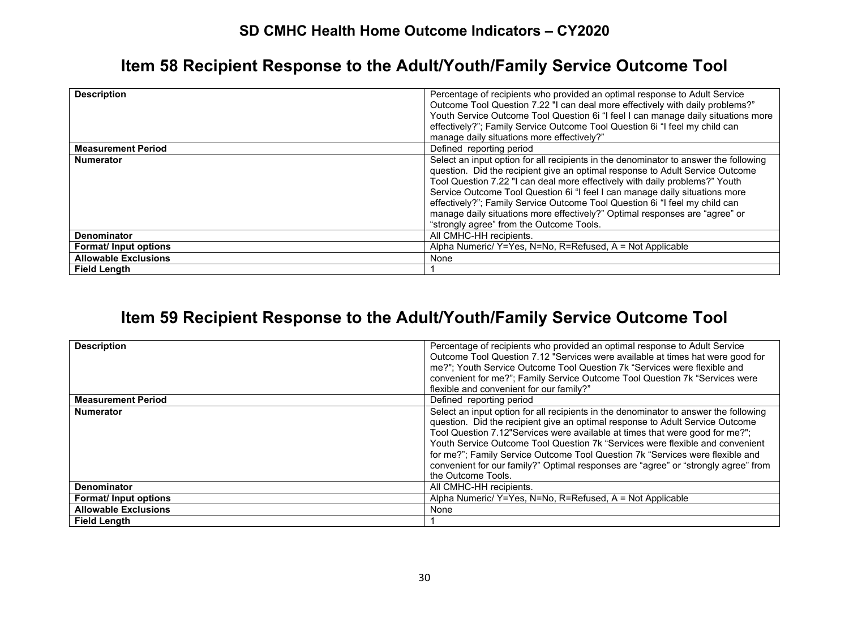## **Item 58 Recipient Response to the Adult/Youth/Family Service Outcome Tool**

| <b>Description</b>          | Percentage of recipients who provided an optimal response to Adult Service<br>Outcome Tool Question 7.22 "I can deal more effectively with daily problems?"<br>Youth Service Outcome Tool Question 6i "I feel I can manage daily situations more<br>effectively?"; Family Service Outcome Tool Question 6i "I feel my child can<br>manage daily situations more effectively?"                                                                                                                                                                 |
|-----------------------------|-----------------------------------------------------------------------------------------------------------------------------------------------------------------------------------------------------------------------------------------------------------------------------------------------------------------------------------------------------------------------------------------------------------------------------------------------------------------------------------------------------------------------------------------------|
| <b>Measurement Period</b>   | Defined reporting period                                                                                                                                                                                                                                                                                                                                                                                                                                                                                                                      |
| <b>Numerator</b>            | Select an input option for all recipients in the denominator to answer the following<br>question. Did the recipient give an optimal response to Adult Service Outcome<br>Tool Question 7.22 "I can deal more effectively with daily problems?" Youth<br>Service Outcome Tool Question 6i "I feel I can manage daily situations more<br>effectively?"; Family Service Outcome Tool Question 6i "I feel my child can<br>manage daily situations more effectively?" Optimal responses are "agree" or<br>"strongly agree" from the Outcome Tools. |
| <b>Denominator</b>          | All CMHC-HH recipients.                                                                                                                                                                                                                                                                                                                                                                                                                                                                                                                       |
| <b>Format/Input options</b> | Alpha Numeric/ Y=Yes, N=No, R=Refused, A = Not Applicable                                                                                                                                                                                                                                                                                                                                                                                                                                                                                     |
| <b>Allowable Exclusions</b> | None                                                                                                                                                                                                                                                                                                                                                                                                                                                                                                                                          |
| <b>Field Length</b>         |                                                                                                                                                                                                                                                                                                                                                                                                                                                                                                                                               |

## **Item 59 Recipient Response to the Adult/Youth/Family Service Outcome Tool**

| <b>Description</b>          | Percentage of recipients who provided an optimal response to Adult Service<br>Outcome Tool Question 7.12 "Services were available at times hat were good for<br>me?"; Youth Service Outcome Tool Question 7k "Services were flexible and<br>convenient for me?"; Family Service Outcome Tool Question 7k "Services were<br>flexible and convenient for our family?"                                                                                                                                                                 |
|-----------------------------|-------------------------------------------------------------------------------------------------------------------------------------------------------------------------------------------------------------------------------------------------------------------------------------------------------------------------------------------------------------------------------------------------------------------------------------------------------------------------------------------------------------------------------------|
| <b>Measurement Period</b>   | Defined reporting period                                                                                                                                                                                                                                                                                                                                                                                                                                                                                                            |
| <b>Numerator</b>            | Select an input option for all recipients in the denominator to answer the following<br>question. Did the recipient give an optimal response to Adult Service Outcome<br>Tool Question 7.12"Services were available at times that were good for me?";<br>Youth Service Outcome Tool Question 7k "Services were flexible and convenient<br>for me?"; Family Service Outcome Tool Question 7k "Services were flexible and<br>convenient for our family?" Optimal responses are "agree" or "strongly agree" from<br>the Outcome Tools. |
| <b>Denominator</b>          | All CMHC-HH recipients.                                                                                                                                                                                                                                                                                                                                                                                                                                                                                                             |
| <b>Format/Input options</b> | Alpha Numeric/ Y=Yes, N=No, R=Refused, A = Not Applicable                                                                                                                                                                                                                                                                                                                                                                                                                                                                           |
| <b>Allowable Exclusions</b> | None                                                                                                                                                                                                                                                                                                                                                                                                                                                                                                                                |
| <b>Field Lenath</b>         |                                                                                                                                                                                                                                                                                                                                                                                                                                                                                                                                     |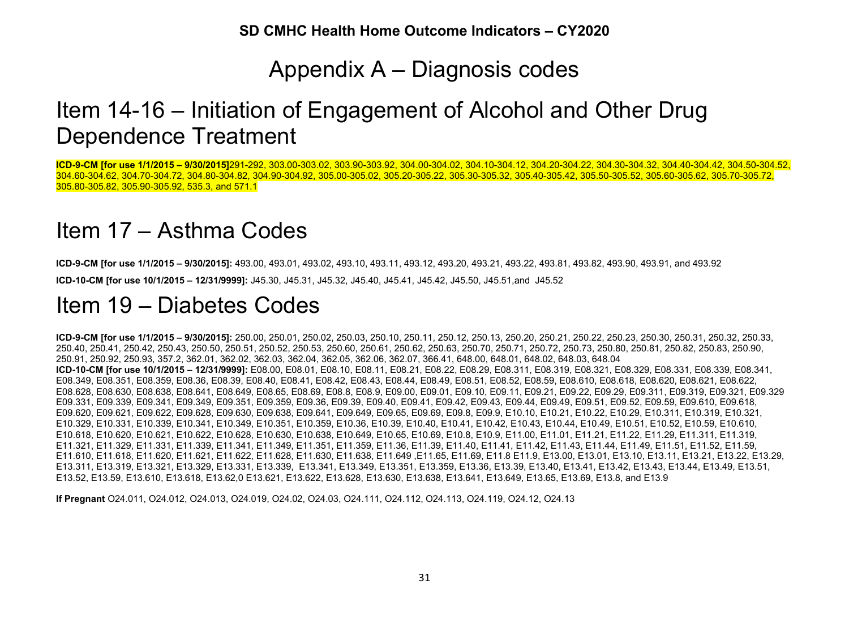# Appendix A – Diagnosis codes

# Item 14-16 – Initiation of Engagement of Alcohol and Other Drug Dependence Treatment

**ICD-9-CM [for use 1/1/2015 – 9/30/2015]**291-292, 303.00-303.02, 303.90-303.92, 304.00-304.02, 304.10-304.12, 304.20-304.22, 304.30-304.32, 304.40-304.42, 304.50-304.52, 304.60-304.62, 304.70-304.72, 304.80-304.82, 304.90-304.92, 305.00-305.02, 305.20-305.22, 305.30-305.32, 305.40-305.42, 305.50-305.52, 305.60-305.62, 305.70-305.72, 305.80-305.82, 305.90-305.92, 535.3, and 571.1

# Item 17 – Asthma Codes

**ICD-9-CM [for use 1/1/2015 – 9/30/2015]:** 493.00, 493.01, 493.02, 493.10, 493.11, 493.12, 493.20, 493.21, 493.22, 493.81, 493.82, 493.90, 493.91, and 493.92 **ICD-10-CM [for use 10/1/2015 – 12/31/9999]:** J45.30, J45.31, J45.32, J45.40, J45.41, J45.42, J45.50, J45.51,and J45.52

# Item 19 – Diabetes Codes

**ICD-9-CM [for use 1/1/2015 – 9/30/2015]:** 250.00, 250.01, 250.02, 250.03, 250.10, 250.11, 250.12, 250.13, 250.20, 250.21, 250.22, 250.23, 250.30, 250.31, 250.32, 250.33, 250.40, 250.41, 250.42, 250.43, 250.50, 250.51, 250.52, 250.53, 250.60, 250.61, 250.62, 250.63, 250.70, 250.71, 250.72, 250.73, 250.80, 250.81, 250.82, 250.83, 250.90, 250.91, 250.92, 250.93, 357.2, 362.01, 362.02, 362.03, 362.04, 362.05, 362.06, 362.07, 366.41, 648.00, 648.01, 648.02, 648.03, 648.04 **ICD-10-CM [for use 10/1/2015 – 12/31/9999]:** E08.00, E08.01, E08.10, E08.11, E08.21, E08.22, E08.29, E08.311, E08.319, E08.321, E08.329, E08.331, E08.339, E08.341, E08.349, E08.351, E08.359, E08.36, E08.39, E08.40, E08.41, E08.42, E08.43, E08.44, E08.49, E08.51, E08.52, E08.59, E08.610, E08.618, E08.620, E08.621, E08.622, E08.628, E08.630, E08.638, E08.641, E08.649, E08.65, E08.69, E08.8, E08.9, E09.00, E09.01, E09.10, E09.11, E09.21, E09.22, E09.29, E09.311, E09.319, E09.321, E09.329 E09.331, E09.339, E09.341, E09.349, E09.351, E09.359, E09.36, E09.39, E09.40, E09.41, E09.42, E09.43, E09.44, E09.49, E09.51, E09.52, E09.59, E09.610, E09.618, E09.620, E09.621, E09.622, E09.628, E09.630, E09.638, E09.641, E09.649, E09.65, E09.69, E09.8, E09.9, E10.10, E10.21, E10.22, E10.29, E10.311, E10.319, E10.321, E10.329, E10.331, E10.339, E10.341, E10.349, E10.351, E10.359, E10.36, E10.39, E10.40, E10.41, E10.42, E10.43, E10.44, E10.49, E10.51, E10.52, E10.59, E10.610, E10.618, E10.620, E10.621, E10.622, E10.628, E10.630, E10.638, E10.649, E10.65, E10.69, E10.8, E10.9, E11.00, E11.01, E11.21, E11.22, E11.29, E11.311, E11.319, E11.321, E11.329, E11.331, E11.339, E11.341, E11.349, E11.351, E11.359, E11.36, E11.39, E11.40, E11.41, E11.42, E11.43, E11.44, E11.49, E11.51, E11.52, E11.59, E11.610, E11.618, E11.620, E11.621, E11.622, E11.628, E11.630, E11.638, E11.649 ,E11.65, E11.69, E11.8 E11.9, E13.00, E13.01, E13.10, E13.11, E13.21, E13.22, E13.29, E13.311, E13.319, E13.321, E13.329, E13.331, E13.339, E13.341, E13.349, E13.351, E13.359, E13.36, E13.39, E13.40, E13.41, E13.42, E13.43, E13.44, E13.49, E13.51, E13.52, E13.59, E13.610, E13.618, E13.62,0 E13.621, E13.622, E13.628, E13.630, E13.638, E13.641, E13.649, E13.65, E13.69, E13.8, and E13.9

**If Pregnant** O24.011, O24.012, O24.013, O24.019, O24.02, O24.03, O24.111, O24.112, O24.113, O24.119, O24.12, O24.13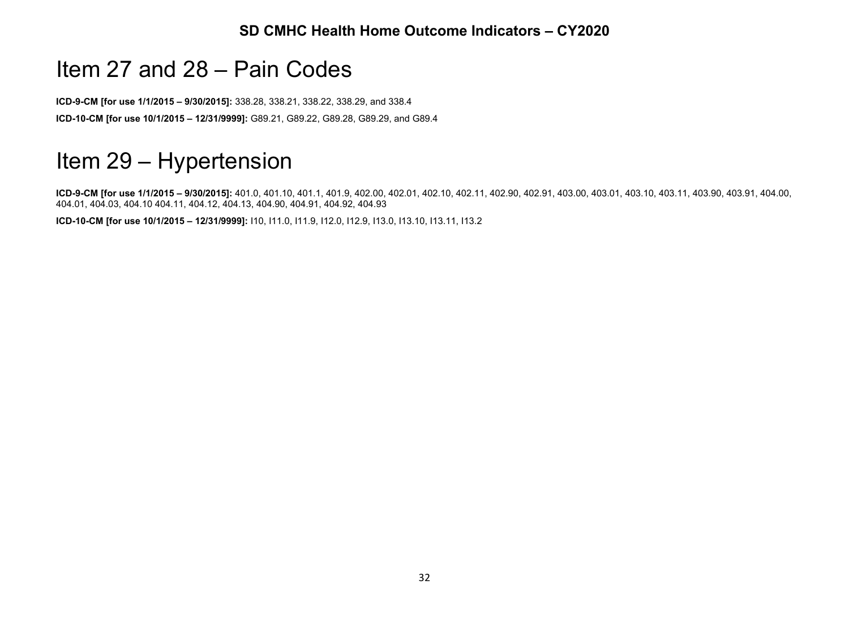# Item 27 and 28 – Pain Codes

**ICD-9-CM [for use 1/1/2015 – 9/30/2015]:** 338.28, 338.21, 338.22, 338.29, and 338.4 **ICD-10-CM [for use 10/1/2015 – 12/31/9999]:** G89.21, G89.22, G89.28, G89.29, and G89.4

# Item 29 – Hypertension

**ICD-9-CM [for use 1/1/2015 – 9/30/2015]:** 401.0, 401.10, 401.1, 401.9, 402.00, 402.01, 402.10, 402.11, 402.90, 402.91, 403.00, 403.01, 403.10, 403.11, 403.90, 403.91, 404.00, 404.01, 404.03, 404.10 404.11, 404.12, 404.13, 404.90, 404.91, 404.92, 404.93

**ICD-10-CM [for use 10/1/2015 – 12/31/9999]:** I10, I11.0, I11.9, I12.0, I12.9, I13.0, I13.10, I13.11, I13.2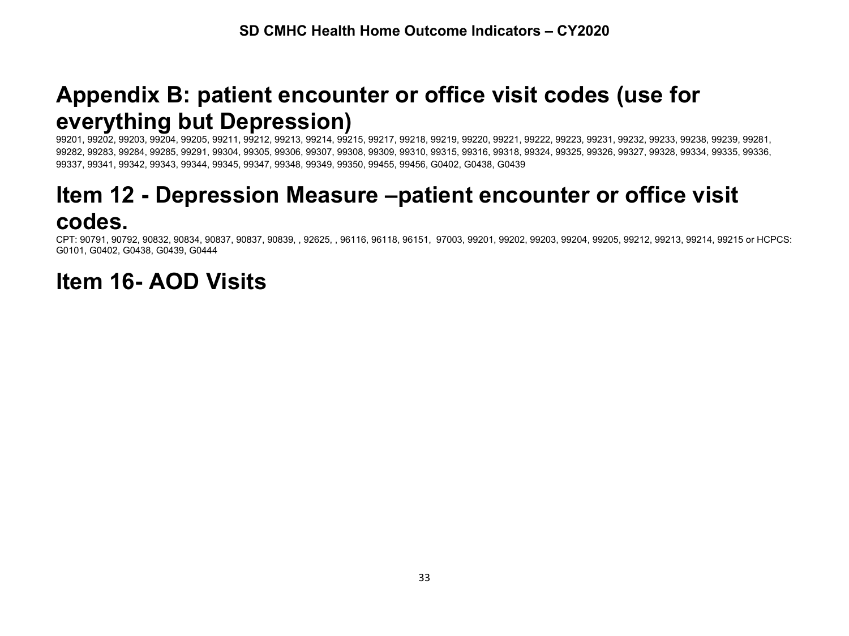# **Appendix B: patient encounter or office visit codes (use for everything but Depression)**

99201, 99202, 99203, 99204, 99205, 99211, 99212, 99213, 99214, 99215, 99217, 99218, 99219, 99220, 99221, 99222, 99223, 99231, 99232, 99233, 99238, 99239, 99281, 99282, 99283, 99284, 99285, 99291, 99304, 99305, 99306, 99307, 99308, 99309, 99310, 99315, 99316, 99318, 99324, 99325, 99326, 99327, 99328, 99334, 99335, 99336, 99337, 99341, 99342, 99343, 99344, 99345, 99347, 99348, 99349, 99350, 99455, 99456, G0402, G0438, G0439

# **Item 12 - Depression Measure –patient encounter or office visit codes.**

CPT: 90791, 90792, 90832, 90834, 90837, 90837, 90839, , 92625, , 96116, 96118, 96151, 97003, 99201, 99202, 99203, 99204, 99205, 99212, 99213, 99214, 99215 or HCPCS: G0101, G0402, G0438, G0439, G0444

# **Item 16- AOD Visits**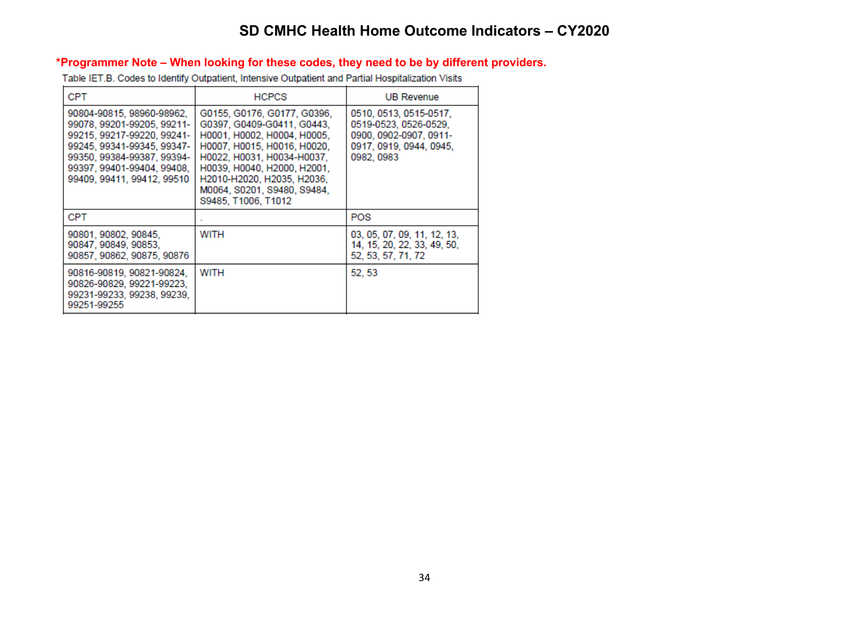#### **\*Programmer Note – When looking for these codes, they need to be by different providers.**

Table IET.B. Codes to Identify Outpatient, Intensive Outpatient and Partial Hospitalization Visits

| <b>CPT</b>                                                                                                                                                                                                    | <b>HCPCS</b>                                                                                                                                                                                                                                                             | <b>UB Revenue</b>                                                                                                  |
|---------------------------------------------------------------------------------------------------------------------------------------------------------------------------------------------------------------|--------------------------------------------------------------------------------------------------------------------------------------------------------------------------------------------------------------------------------------------------------------------------|--------------------------------------------------------------------------------------------------------------------|
| 90804-90815, 98960-98962,<br>99078, 99201-99205, 99211-<br>99215, 99217-99220, 99241-<br>99245, 99341-99345, 99347-<br>99350, 99384-99387, 99394-<br>99397, 99401-99404, 99408,<br>99409, 99411, 99412, 99510 | G0155, G0176, G0177, G0396,<br>G0397, G0409-G0411, G0443,<br>H0001, H0002, H0004, H0005,<br>H0007, H0015, H0016, H0020,<br>H0022, H0031, H0034-H0037,<br>H0039, H0040, H2000, H2001,<br>H2010-H2020, H2035, H2036.<br>M0064, S0201, S9480, S9484,<br>S9485, T1006, T1012 | 0510, 0513, 0515-0517,<br>0519-0523, 0526-0529.<br>0900. 0902-0907. 0911-<br>0917, 0919, 0944, 0945,<br>0982, 0983 |
| <b>CPT</b>                                                                                                                                                                                                    |                                                                                                                                                                                                                                                                          | POS                                                                                                                |
| 90801, 90802, 90845,<br>90847, 90849, 90853,<br>90857, 90862, 90875, 90876                                                                                                                                    | WITH                                                                                                                                                                                                                                                                     | 03. 05. 07. 09. 11. 12. 13.<br>14, 15, 20, 22, 33, 49, 50,<br>52, 53, 57, 71, 72                                   |
| 90816-90819, 90821-90824.<br>90826-90829, 99221-99223,<br>99231-99233, 99238, 99239,<br>99251-99255                                                                                                           | <b>WITH</b>                                                                                                                                                                                                                                                              | 52.53                                                                                                              |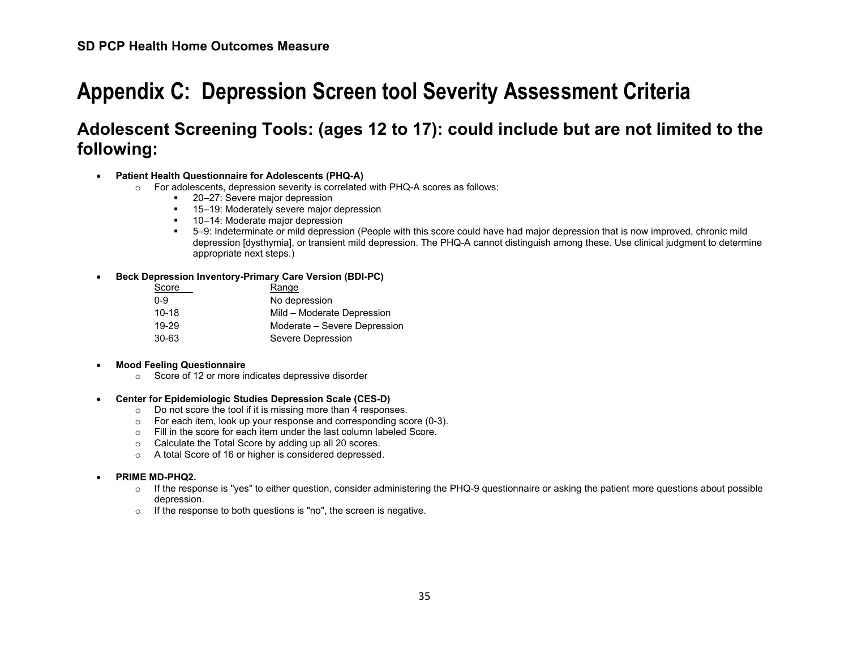# **Appendix C: Depression Screen tool Severity Assessment Criteria**

## **Adolescent Screening Tools: (ages 12 to 17): could include but are not limited to the following:**

#### • **Patient Health Questionnaire for Adolescents (PHQ-A)**

- o For adolescents, depression severity is correlated with PHQ-A scores as follows:
	- 20–27: Severe major depression
	- 15–19: Moderately severe major depression
	- 10–14: Moderate major depression
	- 5–9: Indeterminate or mild depression (People with this score could have had major depression that is now improved, chronic mild depression [dysthymia], or transient mild depression. The PHQ-A cannot distinguish among these. Use clinical judgment to determine appropriate next steps.)

#### • **Beck Depression Inventory-Primary Care Version (BDI-PC)**

| Score     | Range                        |
|-----------|------------------------------|
| $0 - 9$   | No depression                |
| $10 - 18$ | Mild - Moderate Depression   |
| 19-29     | Moderate – Severe Depression |
| 30-63     | Severe Depression            |

#### • **Mood Feeling Questionnaire**

o Score of 12 or more indicates depressive disorder

#### • **Center for Epidemiologic Studies Depression Scale (CES-D)**

- o Do not score the tool if it is missing more than 4 responses.
- o For each item, look up your response and corresponding score (0-3).
- o Fill in the score for each item under the last column labeled Score.
- o Calculate the Total Score by adding up all 20 scores.
- o A total Score of 16 or higher is considered depressed.

#### • **PRIME MD-PHQ2.**

- $\circ$  If the response is "yes" to either question, consider administering the PHQ-9 questionnaire or asking the patient more questions about possible depression.
- o If the response to both questions is "no", the screen is negative.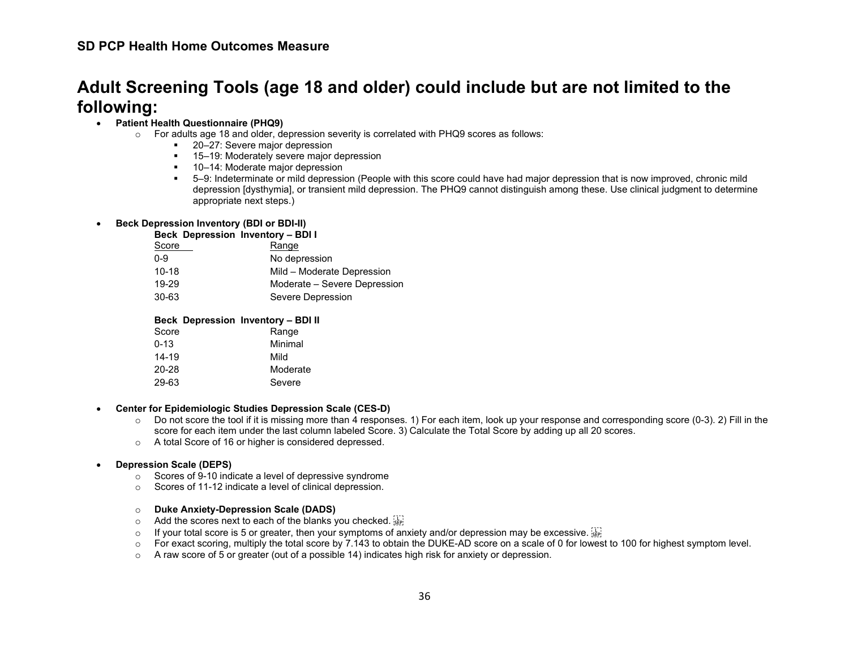## **Adult Screening Tools (age 18 and older) could include but are not limited to the following:**

#### • **Patient Health Questionnaire (PHQ9)**

- $\circ$  For adults age 18 and older, depression severity is correlated with PHQ9 scores as follows:
	- 20–27: Severe major depression
	- 15–19: Moderately severe major depression
	- 10–14: Moderate major depression
	- 5–9: Indeterminate or mild depression (People with this score could have had major depression that is now improved, chronic mild depression [dysthymia], or transient mild depression. The PHQ9 cannot distinguish among these. Use clinical judgment to determine appropriate next steps.)

#### • **Beck Depression Inventory (BDI or BDI-II)**

#### **Beck Depression Inventory – BDI I**

| Score   | Range                        |
|---------|------------------------------|
| $0 - 9$ | No depression                |
| $10-18$ | Mild - Moderate Depression   |
| 19-29   | Moderate – Severe Depression |
| 30-63   | Severe Depression            |
|         |                              |

#### **Beck Depression Inventory – BDI II**

| Score     | Range    |
|-----------|----------|
| $0 - 13$  | Minimal  |
| $14 - 19$ | Mild     |
| 20-28     | Moderate |
| 29-63     | Severe   |

#### • **Center for Epidemiologic Studies Depression Scale (CES-D)**

- $\circ$  Do not score the tool if it is missing more than 4 responses. 1) For each item, look up your response and corresponding score (0-3). 2) Fill in the score for each item under the last column labeled Score. 3) Calculate the Total Score by adding up all 20 scores.
- o A total Score of 16 or higher is considered depressed.

#### • **Depression Scale (DEPS)**

- o Scores of 9-10 indicate a level of depressive syndrome
- o Scores of 11-12 indicate a level of clinical depression.

#### o **Duke Anxiety-Depression Scale (DADS)**

- $\circ$  Add the scores next to each of the blanks you checked.
- $\circ$  If your total score is 5 or greater, then your symptoms of anxiety and/or depression may be excessive.  $\frac{17}{200}$ <br> $\circ$  For exact scoring, multiply the total score by 7.143 to obtain the DUKE-AD score on a scale of
- For exact scoring, multiply the total score by 7.143 to obtain the DUKE-AD score on a scale of 0 for lowest to 100 for highest symptom level.
- $\circ$  A raw score of 5 or greater (out of a possible 14) indicates high risk for anxiety or depression.